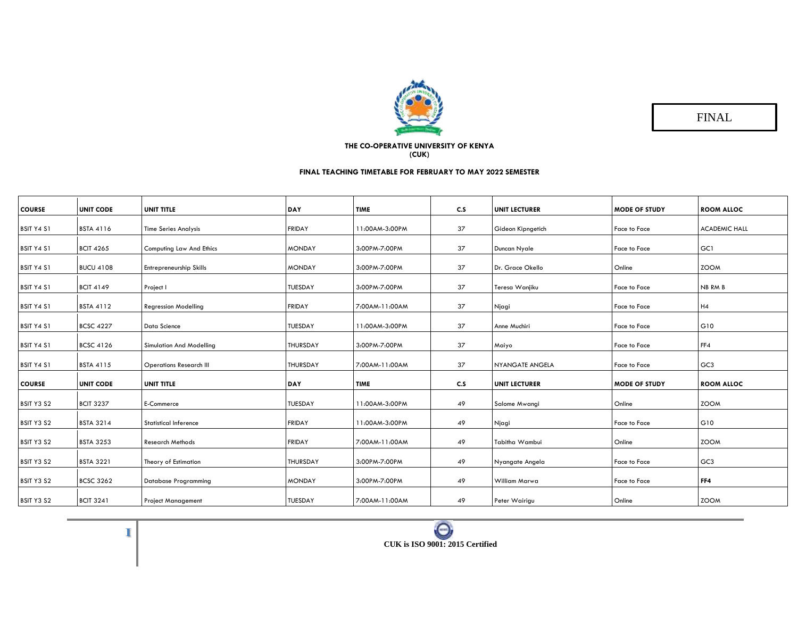

FINAL

## **THE CO-OPERATIVE UNIVERSITY OF KENYA (CUK)**

## **FINAL TEACHING TIMETABLE FOR FEBRUARY TO MAY 2022 SEMESTER**

|                   | <b>UNIT CODE</b> | UNIT TITLE                      | <b>DAY</b>      | <b>TIME</b>    | C.S | <b>UNIT LECTURER</b> | <b>MODE OF STUDY</b> | <b>ROOM ALLOC</b>    |
|-------------------|------------------|---------------------------------|-----------------|----------------|-----|----------------------|----------------------|----------------------|
| <b>COURSE</b>     |                  |                                 |                 |                |     |                      |                      |                      |
| <b>BSIT Y4 S1</b> | <b>BSTA 4116</b> | <b>Time Series Analysis</b>     | <b>FRIDAY</b>   | 11:00AM-3:00PM | 37  | Gideon Kipngetich    | Face to Face         | <b>ACADEMIC HALL</b> |
| <b>BSIT Y4 S1</b> | <b>BCIT 4265</b> | <b>Computing Law And Ethics</b> | <b>MONDAY</b>   | 3:00PM-7:00PM  | 37  | Duncan Nyale         | Face to Face         | GC1                  |
| <b>BSIT Y4 S1</b> | <b>BUCU 4108</b> | Entrepreneurship Skills         | <b>MONDAY</b>   | 3:00PM-7:00PM  | 37  | Dr. Grace Okello     | Online               | <b>ZOOM</b>          |
| <b>BSIT Y4 S1</b> | <b>BCIT 4149</b> | Project I                       | TUESDAY         | 3:00PM-7:00PM  | 37  | Teresa Wanjiku       | <b>Face to Face</b>  | NB RM B              |
| <b>BSIT Y4 S1</b> | <b>BSTA 4112</b> | <b>Regression Modelling</b>     | <b>FRIDAY</b>   | 7:00AM-11:00AM | 37  | Njagi                | Face to Face         | H4                   |
| <b>BSIT Y4 S1</b> | <b>BCSC 4227</b> | Data Science                    | TUESDAY         | 11:00AM-3:00PM | 37  | Anne Muchiri         | Face to Face         | G10                  |
| <b>BSIT Y4 S1</b> | <b>BCSC 4126</b> | <b>Simulation And Modelling</b> | <b>THURSDAY</b> | 3:00PM-7:00PM  | 37  | Maiyo                | <b>Face to Face</b>  | FF4                  |
| <b>BSIT Y4 S1</b> | <b>BSTA 4115</b> | <b>Operations Research III</b>  | <b>THURSDAY</b> | 7:00AM-11:00AM | 37  | NYANGATE ANGELA      | Face to Face         | GC <sub>3</sub>      |
| <b>COURSE</b>     | <b>UNIT CODE</b> | UNIT TITLE                      | <b>DAY</b>      | <b>TIME</b>    | C.S | <b>UNIT LECTURER</b> | <b>MODE OF STUDY</b> | <b>ROOM ALLOC</b>    |
| BSIT Y3 S2        | <b>BCIT 3237</b> | E-Commerce                      | TUESDAY         | 11:00AM-3:00PM | 49  | Salome Mwangi        | Online               | <b>ZOOM</b>          |
| BSIT Y3 S2        | <b>BSTA 3214</b> | <b>Statistical Inference</b>    | <b>FRIDAY</b>   | 11:00AM-3:00PM | 49  | Njagi                | Face to Face         | G10                  |
| BSIT Y3 S2        | <b>BSTA 3253</b> | <b>Research Methods</b>         | <b>FRIDAY</b>   | 7:00AM-11:00AM | 49  | Tabitha Wambui       | Online               | <b>ZOOM</b>          |
| BSIT Y3 S2        | <b>BSTA 3221</b> | Theory of Estimation            | <b>THURSDAY</b> | 3:00PM-7:00PM  | 49  | Nyangate Angela      | Face to Face         | GC <sub>3</sub>      |
| BSIT Y3 S2        | <b>BCSC 3262</b> | <b>Database Programming</b>     | <b>MONDAY</b>   | 3:00PM-7:00PM  | 49  | William Marwa        | <b>Face to Face</b>  | FF4                  |
| BSIT Y3 S2        | <b>BCIT 3241</b> | <b>Project Management</b>       | <b>TUESDAY</b>  | 7:00AM-11:00AM | 49  | Peter Wairigu        | Online               | <b>ZOOM</b>          |

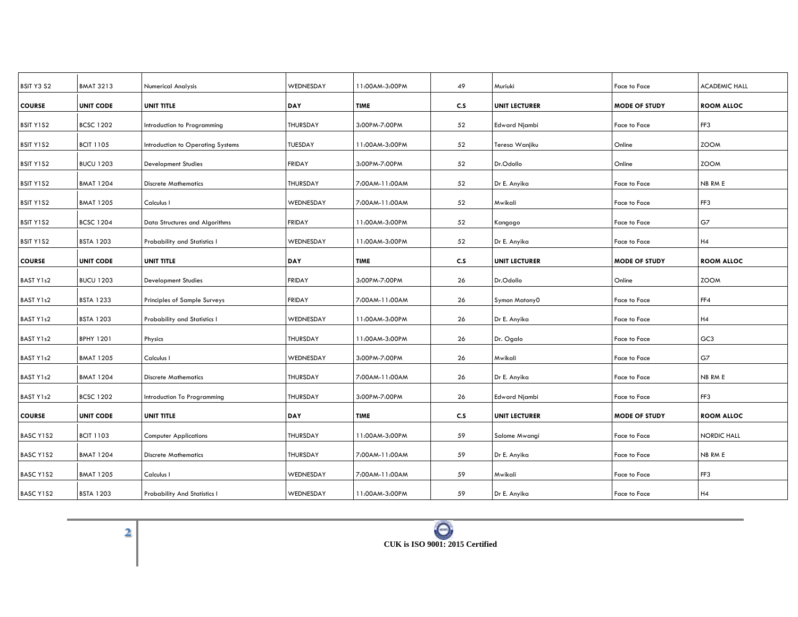| <b>BMAT 3213</b> | <b>Numerical Analysis</b>           | WEDNESDAY       | 11:00AM-3:00PM | 49  | Muriuki              | Face to Face         | <b>ACADEMIC HALL</b> |
|------------------|-------------------------------------|-----------------|----------------|-----|----------------------|----------------------|----------------------|
| <b>UNIT CODE</b> | <b>UNIT TITLE</b>                   | <b>DAY</b>      | <b>TIME</b>    | C.S | <b>UNIT LECTURER</b> | <b>MODE OF STUDY</b> | <b>ROOM ALLOC</b>    |
| <b>BCSC 1202</b> | Introduction to Programming         | <b>THURSDAY</b> | 3:00PM-7:00PM  | 52  | <b>Edward Njambi</b> | Face to Face         | FF3                  |
| <b>BCIT 1105</b> | Introduction to Operating Systems   | TUESDAY         | 11:00AM-3:00PM | 52  | Teresa Wanjiku       | Online               | <b>ZOOM</b>          |
| <b>BUCU 1203</b> | <b>Development Studies</b>          | <b>FRIDAY</b>   | 3:00PM-7:00PM  | 52  | Dr.Odollo            | Online               | <b>ZOOM</b>          |
| <b>BMAT 1204</b> | <b>Discrete Mathematics</b>         | <b>THURSDAY</b> | 7:00AM-11:00AM | 52  | Dr E. Anyika         | Face to Face         | NB RM E              |
| <b>BMAT 1205</b> | Calculus I                          | WEDNESDAY       | 7:00AM-11:00AM | 52  | Mwikali              | Face to Face         | FF3                  |
| <b>BCSC 1204</b> | Data Structures and Algorithms      | <b>FRIDAY</b>   | 11:00AM-3:00PM | 52  | Kangogo              | Face to Face         | G7                   |
| <b>BSTA 1203</b> | Probability and Statistics I        | WEDNESDAY       | 11:00AM-3:00PM | 52  | Dr E. Anyika         | Face to Face         | H4                   |
| <b>UNIT CODE</b> | UNIT TITLE                          | <b>DAY</b>      | <b>TIME</b>    | C.S | <b>UNIT LECTURER</b> | <b>MODE OF STUDY</b> | <b>ROOM ALLOC</b>    |
| <b>BUCU 1203</b> | <b>Development Studies</b>          | <b>FRIDAY</b>   | 3:00PM-7:00PM  | 26  | Dr.Odollo            | Online               | <b>ZOOM</b>          |
| <b>BSTA 1233</b> | Principles of Sample Surveys        | <b>FRIDAY</b>   | 7:00AM-11:00AM | 26  | Symon Matony0        | Face to Face         | FF4                  |
| <b>BSTA 1203</b> | Probability and Statistics I        | WEDNESDAY       | 11:00AM-3:00PM | 26  | Dr E. Anyika         | Face to Face         | H4                   |
| <b>BPHY 1201</b> | Physics                             | <b>THURSDAY</b> | 11:00AM-3:00PM | 26  | Dr. Ogalo            | Face to Face         | GC <sub>3</sub>      |
| <b>BMAT 1205</b> | Calculus I                          | WEDNESDAY       | 3:00PM-7:00PM  | 26  | Mwikali              | Face to Face         | G7                   |
| <b>BMAT 1204</b> | <b>Discrete Mathematics</b>         | THURSDAY        | 7:00AM-11:00AM | 26  | Dr E. Anyika         | Face to Face         | NB RM E              |
| <b>BCSC 1202</b> | Introduction To Programming         | THURSDAY        | 3:00PM-7:00PM  | 26  | <b>Edward Njambi</b> | Face to Face         | FF3                  |
| <b>UNIT CODE</b> | UNIT TITLE                          | DAY             | <b>TIME</b>    | C.S | <b>UNIT LECTURER</b> | <b>MODE OF STUDY</b> | <b>ROOM ALLOC</b>    |
| <b>BCIT 1103</b> | <b>Computer Applications</b>        | <b>THURSDAY</b> | 11:00AM-3:00PM | 59  | Salome Mwangi        | Face to Face         | NORDIC HALL          |
| <b>BMAT 1204</b> | <b>Discrete Mathematics</b>         | THURSDAY        | 7:00AM-11:00AM | 59  | Dr E. Anyika         | Face to Face         | NB RM E              |
| <b>BMAT 1205</b> | Calculus I                          | WEDNESDAY       | 7:00AM-11:00AM | 59  | Mwikali              | Face to Face         | FF3                  |
| <b>BSTA 1203</b> | <b>Probability And Statistics I</b> | WEDNESDAY       | 11:00AM-3:00PM | 59  | Dr E. Anyika         | Face to Face         | H4                   |
|                  |                                     |                 |                |     |                      |                      |                      |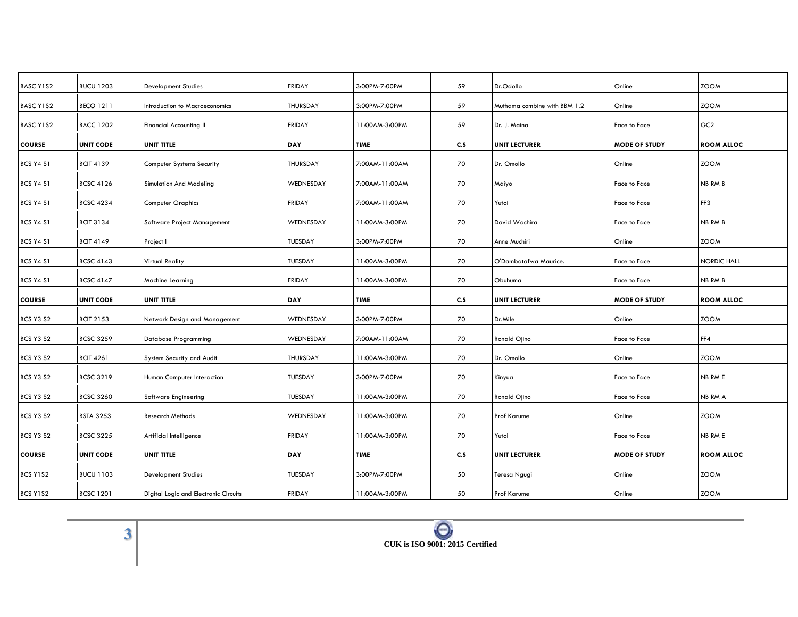| <b>BUCU 1203</b> | <b>Development Studies</b>            | <b>FRIDAY</b>   | 3:00PM-7:00PM  | 59  | Dr.Odollo                    | Online               | <b>ZOOM</b>        |
|------------------|---------------------------------------|-----------------|----------------|-----|------------------------------|----------------------|--------------------|
| <b>BECO 1211</b> | Introduction to Macroeconomics        | <b>THURSDAY</b> | 3:00PM-7:00PM  | 59  | Muthama combine with BBM 1.2 | Online               | <b>ZOOM</b>        |
| <b>BACC 1202</b> | Financial Accounting II               | <b>FRIDAY</b>   | 11:00AM-3:00PM | 59  | Dr. J. Maina                 | Face to Face         | GC <sub>2</sub>    |
| <b>UNIT CODE</b> | UNIT TITLE                            | <b>DAY</b>      | <b>TIME</b>    | C.S | <b>UNIT LECTURER</b>         | <b>MODE OF STUDY</b> | <b>ROOM ALLOC</b>  |
| <b>BCIT 4139</b> | <b>Computer Systems Security</b>      | <b>THURSDAY</b> | 7:00AM-11:00AM | 70  | Dr. Omollo                   | Online               | <b>ZOOM</b>        |
| <b>BCSC 4126</b> | Simulation And Modeling               | WEDNESDAY       | 7:00AM-11:00AM | 70  | Maiyo                        | Face to Face         | NB RM B            |
| <b>BCSC 4234</b> | Computer Graphics                     | <b>FRIDAY</b>   | 7:00AM-11:00AM | 70  | Yutoi                        | Face to Face         | FF3                |
| <b>BCIT 3134</b> | Software Project Management           | WEDNESDAY       | 11:00AM-3:00PM | 70  | David Wachira                | Face to Face         | NB RM B            |
| <b>BCIT 4149</b> | Project I                             | TUESDAY         | 3:00PM-7:00PM  | 70  | Anne Muchiri                 | Online               | <b>ZOOM</b>        |
| <b>BCSC 4143</b> | Virtual Reality                       | TUESDAY         | 11:00AM-3:00PM | 70  | O'Dambatafwa Maurice.        | Face to Face         | <b>NORDIC HALL</b> |
| <b>BCSC 4147</b> | Machine Learning                      | <b>FRIDAY</b>   | 11:00AM-3:00PM | 70  | Obuhuma                      | Face to Face         | NB RM B            |
| <b>UNIT CODE</b> | UNIT TITLE                            | DAY             | <b>TIME</b>    | C.S | <b>UNIT LECTURER</b>         | <b>MODE OF STUDY</b> | <b>ROOM ALLOC</b>  |
| <b>BCIT 2153</b> | Network Design and Management         | WEDNESDAY       | 3:00PM-7:00PM  | 70  | Dr.Mile                      | Online               | <b>ZOOM</b>        |
| <b>BCSC 3259</b> | Database Programming                  | WEDNESDAY       | 7:00AM-11:00AM | 70  | Ronald Ojino                 | Face to Face         | FF4                |
| <b>BCIT 4261</b> | System Security and Audit             | THURSDAY        | 11:00AM-3:00PM | 70  | Dr. Omollo                   | Online               | <b>ZOOM</b>        |
| <b>BCSC 3219</b> | Human Computer Interaction            | TUESDAY         | 3:00PM-7:00PM  | 70  | Kinyua                       | Face to Face         | NB RM E            |
| <b>BCSC 3260</b> | Software Engineering                  | TUESDAY         | 11:00AM-3:00PM | 70  | Ronald Ojino                 | Face to Face         | NB RM A            |
| <b>BSTA 3253</b> | <b>Research Methods</b>               | WEDNESDAY       | 11:00AM-3:00PM | 70  | Prof Karume                  | Online               | <b>ZOOM</b>        |
| <b>BCSC 3225</b> | Artificial Intelligence               | <b>FRIDAY</b>   | 11:00AM-3:00PM | 70  | Yutoi                        | Face to Face         | NB RM E            |
| <b>UNIT CODE</b> | UNIT TITLE                            | <b>DAY</b>      | <b>TIME</b>    | C.S | <b>UNIT LECTURER</b>         | <b>MODE OF STUDY</b> | <b>ROOM ALLOC</b>  |
| <b>BUCU 1103</b> | <b>Development Studies</b>            | TUESDAY         | 3:00PM-7:00PM  | 50  | Teresa Ngugi                 | Online               | <b>ZOOM</b>        |
| <b>BCSC 1201</b> | Digital Logic and Electronic Circuits | <b>FRIDAY</b>   | 11:00AM-3:00PM | 50  | <b>Prof Karume</b>           | Online               | <b>ZOOM</b>        |
|                  |                                       |                 |                |     |                              |                      |                    |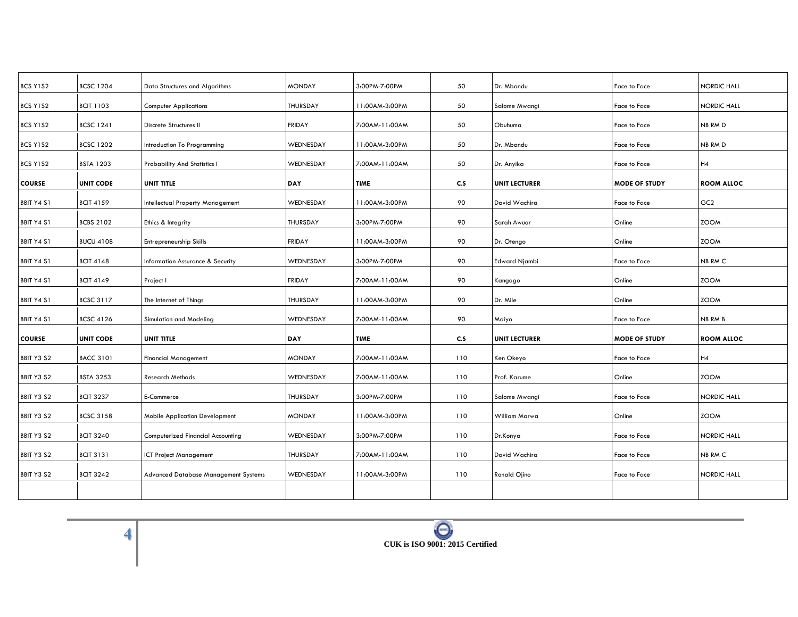| BCS Y1S2          | <b>BCSC 1204</b> | Data Structures and Algorithms        | <b>MONDAY</b>   | 3:00PM-7:00PM  | 50  | Dr. Mbandu           | Face to Face         | NORDIC HALL        |
|-------------------|------------------|---------------------------------------|-----------------|----------------|-----|----------------------|----------------------|--------------------|
| BCS Y1S2          | <b>BCIT 1103</b> | <b>Computer Applications</b>          | <b>THURSDAY</b> | 11:00AM-3:00PM | 50  | Salome Mwangi        | Face to Face         | NORDIC HALL        |
| BCS Y1S2          | <b>BCSC 1241</b> | Discrete Structures II                | <b>FRIDAY</b>   | 7:00AM-11:00AM | 50  | Obuhuma              | Face to Face         | NB RM D            |
| BCS Y1S2          | <b>BCSC 1202</b> | Introduction To Programming           | WEDNESDAY       | 11:00AM-3:00PM | 50  | Dr. Mbandu           | Face to Face         | NB RM D            |
| BCS Y1S2          | <b>BSTA 1203</b> | Probability And Statistics I          | WEDNESDAY       | 7:00AM-11:00AM | 50  | Dr. Anyika           | Face to Face         | H4                 |
| <b>COURSE</b>     | <b>UNIT CODE</b> | <b>UNIT TITLE</b>                     | <b>DAY</b>      | <b>TIME</b>    | C.S | <b>UNIT LECTURER</b> | <b>MODE OF STUDY</b> | <b>ROOM ALLOC</b>  |
| <b>BBIT Y4 S1</b> | <b>BCIT 4159</b> | Intellectual Property Management      | WEDNESDAY       | 11:00AM-3:00PM | 90  | David Wachira        | Face to Face         | GC <sub>2</sub>    |
| <b>BBIT Y4 S1</b> | <b>BCBS 2102</b> | Ethics & Integrity                    | <b>THURSDAY</b> | 3:00PM-7:00PM  | 90  | Sarah Awuor          | Online               | <b>ZOOM</b>        |
| <b>BBIT Y4 S1</b> | <b>BUCU 4108</b> | Entrepreneurship Skills               | <b>FRIDAY</b>   | 11:00AM-3:00PM | 90  | Dr. Otengo           | Online               | <b>ZOOM</b>        |
| <b>BBIT Y4 S1</b> | <b>BCIT 4148</b> | Information Assurance & Security      | WEDNESDAY       | 3:00PM-7:00PM  | 90  | <b>Edward Njambi</b> | Face to Face         | NB RM C            |
| <b>BBIT Y4 S1</b> | <b>BCIT 4149</b> | Project I                             | <b>FRIDAY</b>   | 7:00AM-11:00AM | 90  | Kangogo              | Online               | <b>ZOOM</b>        |
| <b>BBIT Y4 S1</b> | <b>BCSC 3117</b> | The Internet of Things                | <b>THURSDAY</b> | 11:00AM-3:00PM | 90  | Dr. Mile             | Online               | <b>ZOOM</b>        |
| <b>BBIT Y4 S1</b> | <b>BCSC 4126</b> | Simulation and Modeling               | WEDNESDAY       | 7:00AM-11:00AM | 90  | Maiyo                | Face to Face         | NB RM B            |
| <b>COURSE</b>     | <b>UNIT CODE</b> | <b>UNIT TITLE</b>                     | <b>DAY</b>      | <b>TIME</b>    | c.s | <b>UNIT LECTURER</b> | <b>MODE OF STUDY</b> | <b>ROOM ALLOC</b>  |
| BBIT Y3 S2        | <b>BACC 3101</b> | <b>Financial Management</b>           | <b>MONDAY</b>   | 7:00AM-11:00AM | 110 | Ken Okeyo            | Face to Face         | H4                 |
| BBIT Y3 S2        | <b>BSTA 3253</b> | <b>Research Methods</b>               | WEDNESDAY       | 7:00AM-11:00AM | 110 | Prof. Karume         | Online               | <b>ZOOM</b>        |
| BBIT Y3 S2        | <b>BCIT 3237</b> | E-Commerce                            | <b>THURSDAY</b> | 3:00PM-7:00PM  | 110 | Salome Mwangi        | Face to Face         | NORDIC HALL        |
| BBIT Y3 S2        | <b>BCSC 3158</b> | <b>Mobile Application Development</b> | <b>MONDAY</b>   | 11:00AM-3:00PM | 110 | William Marwa        | Online               | <b>ZOOM</b>        |
|                   |                  |                                       |                 |                |     |                      |                      |                    |
| BBIT Y3 S2        | <b>BCIT 3240</b> | Computerized Financial Accounting     | WEDNESDAY       | 3:00PM-7:00PM  | 110 | Dr.Konya             | Face to Face         | <b>NORDIC HALL</b> |
| BBIT Y3 S2        | <b>BCIT 3131</b> | ICT Project Management                | THURSDAY        | 7:00AM-11:00AM | 110 | David Wachira        | Face to Face         | NB RM C            |
| BBIT Y3 S2        | <b>BCIT 3242</b> | Advanced Database Management Systems  | WEDNESDAY       | 11:00AM-3:00PM | 110 | Ronald Ojino         | Face to Face         | NORDIC HALL        |
|                   |                  |                                       |                 |                |     |                      |                      |                    |
|                   |                  |                                       |                 |                |     |                      |                      |                    |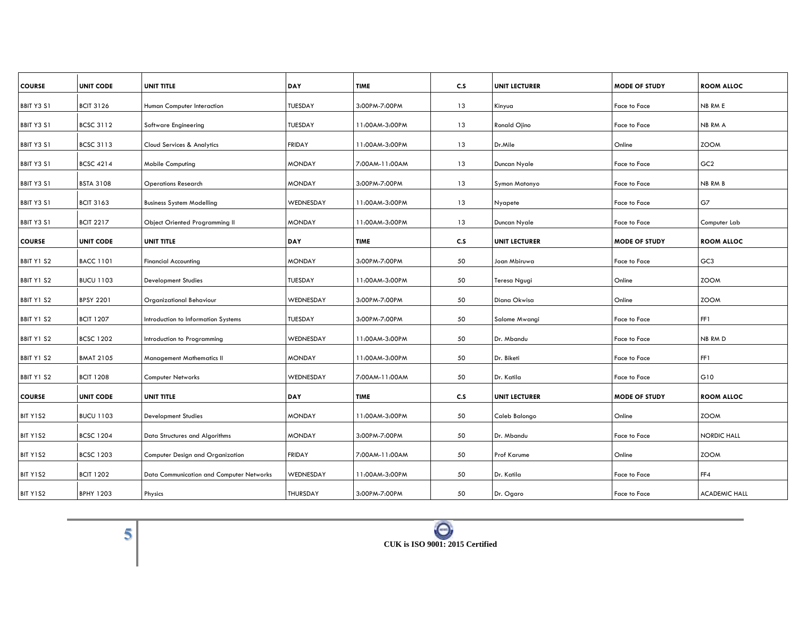| <b>UNIT CODE</b> | UNIT TITLE                               | DAY                  | <b>TIME</b>    | C.S            | <b>UNIT LECTURER</b> | <b>MODE OF STUDY</b> | <b>ROOM ALLOC</b>    |
|------------------|------------------------------------------|----------------------|----------------|----------------|----------------------|----------------------|----------------------|
| <b>BCIT 3126</b> | Human Computer Interaction               | TUESDAY              | 3:00PM-7:00PM  | 13             | Kinyua               | Face to Face         | NB RM E              |
|                  |                                          |                      |                |                |                      |                      |                      |
|                  |                                          |                      |                |                |                      |                      | NB RM A              |
| <b>BCSC 3113</b> | Cloud Services & Analytics               | <b>FRIDAY</b>        | 11:00AM-3:00PM | 13             | Dr.Mile              | Online               | <b>ZOOM</b>          |
| <b>BCSC 4214</b> | <b>Mobile Computing</b>                  | <b>MONDAY</b>        | 7:00AM-11:00AM | 13             | Duncan Nyale         | Face to Face         | GC <sub>2</sub>      |
| <b>BSTA 3108</b> | <b>Operations Research</b>               | <b>MONDAY</b>        | 3:00PM-7:00PM  | 13             | Symon Matonyo        | Face to Face         | <b>NB RM B</b>       |
| <b>BCIT 3163</b> | <b>Business System Modelling</b>         | WEDNESDAY            | 11:00AM-3:00PM | 13             | Nyapete              | Face to Face         | G7                   |
| <b>BCIT 2217</b> | <b>Object Oriented Programming II</b>    | <b>MONDAY</b>        | 11:00AM-3:00PM | 13             | Duncan Nyale         | Face to Face         | Computer Lab         |
| <b>UNIT CODE</b> | UNIT TITLE                               | <b>DAY</b>           | <b>TIME</b>    | C.S            | <b>UNIT LECTURER</b> | <b>MODE OF STUDY</b> | <b>ROOM ALLOC</b>    |
| <b>BACC 1101</b> | <b>Financial Accounting</b>              | <b>MONDAY</b>        | 3:00PM-7:00PM  | 50             | Joan Mbiruwa         | Face to Face         | GC <sub>3</sub>      |
| <b>BUCU 1103</b> | <b>Development Studies</b>               | <b>TUESDAY</b>       | 11:00AM-3:00PM | 50             | Teresa Ngugi         | Online               | <b>ZOOM</b>          |
| <b>BPSY 2201</b> | Organizational Behaviour                 | WEDNESDAY            | 3:00PM-7:00PM  | 50             | Diana Okwisa         | Online               | <b>ZOOM</b>          |
| <b>BCIT 1207</b> | Introduction to Information Systems      | <b>TUESDAY</b>       | 3:00PM-7:00PM  | 50             | Salome Mwangi        | Face to Face         | FF1                  |
| <b>BCSC 1202</b> | Introduction to Programming              | WEDNESDAY            | 11:00AM-3:00PM | 50             | Dr. Mbandu           | Face to Face         | NB RM D              |
| <b>BMAT 2105</b> | Management Mathematics II                | <b>MONDAY</b>        | 11:00AM-3:00PM | 50             | Dr. Biketi           | Face to Face         | FF1                  |
| <b>BCIT 1208</b> | Computer Networks                        | WEDNESDAY            | 7:00AM-11:00AM | 50             | Dr. Katila           | Face to Face         | G10                  |
| <b>UNIT CODE</b> | UNIT TITLE                               | DAY                  | <b>TIME</b>    | c.s            | <b>UNIT LECTURER</b> | <b>MODE OF STUDY</b> | <b>ROOM ALLOC</b>    |
| <b>BUCU 1103</b> | <b>Development Studies</b>               | <b>MONDAY</b>        | 11:00AM-3:00PM | 50             | Caleb Balongo        | Online               | <b>ZOOM</b>          |
| <b>BCSC 1204</b> | Data Structures and Algorithms           | <b>MONDAY</b>        | 3:00PM-7:00PM  | 50             | Dr. Mbandu           | Face to Face         | <b>NORDIC HALL</b>   |
| <b>BCSC 1203</b> | Computer Design and Organization         | <b>FRIDAY</b>        | 7:00AM-11:00AM | 50             | <b>Prof Karume</b>   | Online               | <b>ZOOM</b>          |
| <b>BCIT 1202</b> | Data Communication and Computer Networks | WEDNESDAY            | 11:00AM-3:00PM | 50             | Dr. Katila           | Face to Face         | FF4                  |
| <b>BPHY 1203</b> | Physics                                  | THURSDAY             | 3:00PM-7:00PM  | 50             | Dr. Ogaro            | Face to Face         | <b>ACADEMIC HALL</b> |
|                  | <b>BCSC 3112</b>                         | Software Engineering | TUESDAY        | 11:00AM-3:00PM | 13                   | Ronald Ojino         | Face to Face         |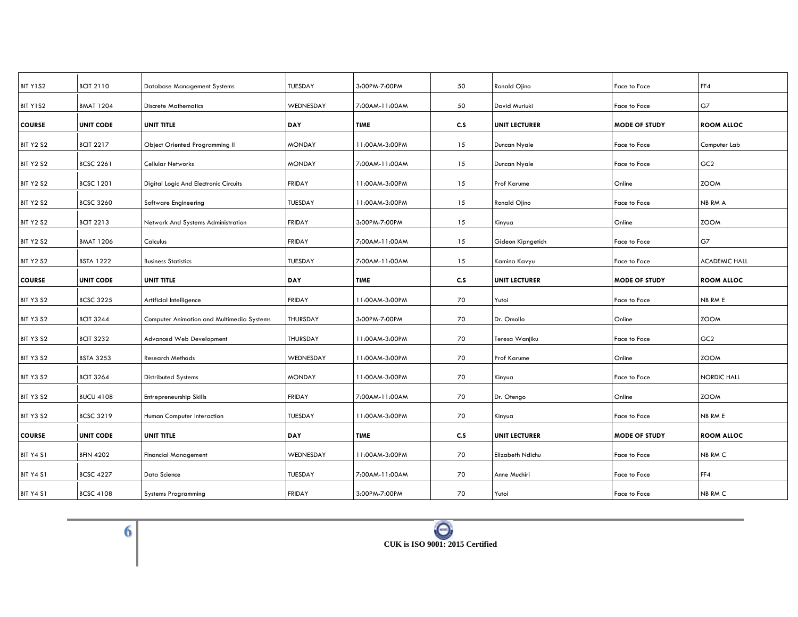| BIT Y1S2         | <b>BCIT 2110</b> | <b>Database Management Systems</b>        | TUESDAY         | 3:00PM-7:00PM  | 50  | Ronald Ojino         | Face to Face         | FF4                  |
|------------------|------------------|-------------------------------------------|-----------------|----------------|-----|----------------------|----------------------|----------------------|
| BIT Y1S2         | <b>BMAT 1204</b> | <b>Discrete Mathematics</b>               | WEDNESDAY       | 7:00AM-11:00AM | 50  | David Muriuki        | Face to Face         | G7                   |
| <b>COURSE</b>    | <b>UNIT CODE</b> | UNIT TITLE                                | DAY             | <b>TIME</b>    | c.s | <b>UNIT LECTURER</b> | <b>MODE OF STUDY</b> | <b>ROOM ALLOC</b>    |
| <b>BIT Y2 S2</b> | <b>BCIT 2217</b> | <b>Object Oriented Programming II</b>     | <b>MONDAY</b>   | 11:00AM-3:00PM | 15  | Duncan Nyale         | Face to Face         | Computer Lab         |
| <b>BIT Y2 S2</b> | <b>BCSC 2261</b> | Cellular Networks                         | <b>MONDAY</b>   | 7:00AM-11:00AM | 15  | Duncan Nyale         | Face to Face         | GC <sub>2</sub>      |
| <b>BIT Y2 S2</b> | <b>BCSC 1201</b> | Digital Logic And Electronic Circuits     | <b>FRIDAY</b>   | 11:00AM-3:00PM | 15  | <b>Prof Karume</b>   | Online               | <b>ZOOM</b>          |
| <b>BIT Y2 S2</b> | <b>BCSC 3260</b> | Software Engineering                      | <b>TUESDAY</b>  | 11:00AM-3:00PM | 15  | Ronald Ojino         | Face to Face         | NB RM A              |
| <b>BIT Y2 S2</b> | <b>BCIT 2213</b> | Network And Systems Administration        | <b>FRIDAY</b>   | 3:00PM-7:00PM  | 15  | Kinyua               | Online               | <b>ZOOM</b>          |
| <b>BIT Y2 S2</b> | <b>BMAT 1206</b> | Calculus                                  | <b>FRIDAY</b>   | 7:00AM-11:00AM | 15  | Gideon Kipngetich    | Face to Face         | G7                   |
| <b>BIT Y2 S2</b> | <b>BSTA 1222</b> | <b>Business Statistics</b>                | <b>TUESDAY</b>  | 7:00AM-11:00AM | 15  | Kamina Kavyu         | Face to Face         | <b>ACADEMIC HALL</b> |
| <b>COURSE</b>    | <b>UNIT CODE</b> | <b>UNIT TITLE</b>                         | <b>DAY</b>      | <b>TIME</b>    | C.S | <b>UNIT LECTURER</b> | <b>MODE OF STUDY</b> | <b>ROOM ALLOC</b>    |
| <b>BIT Y3 S2</b> | <b>BCSC 3225</b> | Artificial Intelligence                   | <b>FRIDAY</b>   | 11:00AM-3:00PM | 70  | Yutoi                | Face to Face         | NB RM E              |
| <b>BIT Y3 S2</b> | <b>BCIT 3244</b> | Computer Animation and Multimedia Systems | THURSDAY        | 3:00PM-7:00PM  | 70  | Dr. Omollo           | Online               | <b>ZOOM</b>          |
| BIT Y3 S2        | <b>BCIT 3232</b> | <b>Advanced Web Development</b>           | <b>THURSDAY</b> | 11:00AM-3:00PM | 70  | Teresa Wanjiku       | Face to Face         | GC <sub>2</sub>      |
| <b>BIT Y3 S2</b> | <b>BSTA 3253</b> | <b>Research Methods</b>                   | WEDNESDAY       | 11:00AM-3:00PM | 70  | Prof Karume          | Online               | <b>ZOOM</b>          |
| <b>BIT Y3 S2</b> | <b>BCIT 3264</b> | <b>Distributed Systems</b>                | <b>MONDAY</b>   | 11:00AM-3:00PM | 70  | Kinyua               | Face to Face         | NORDIC HALL          |
| <b>BIT Y3 S2</b> | <b>BUCU 4108</b> | Entrepreneurship Skills                   | <b>FRIDAY</b>   | 7:00AM-11:00AM | 70  | Dr. Otengo           | Online               | <b>ZOOM</b>          |
| <b>BIT Y3 S2</b> | <b>BCSC 3219</b> | Human Computer Interaction                | <b>TUESDAY</b>  | 11:00AM-3:00PM | 70  | Kinyua               | Face to Face         | NB RM E              |
| <b>COURSE</b>    | <b>UNIT CODE</b> | UNIT TITLE                                | <b>DAY</b>      | <b>TIME</b>    | c.s | <b>UNIT LECTURER</b> | <b>MODE OF STUDY</b> | <b>ROOM ALLOC</b>    |
| <b>BIT Y4 S1</b> | <b>BFIN 4202</b> | <b>Financial Management</b>               | WEDNESDAY       | 11:00AM-3:00PM | 70  | Elizabeth Ndichu     | Face to Face         | NB RM C              |
| BIT Y4 S1        | <b>BCSC 4227</b> | Data Science                              | <b>TUESDAY</b>  | 7:00AM-11:00AM | 70  | Anne Muchiri         | Face to Face         | FF4                  |
| BIT Y4 S1        | <b>BCSC 4108</b> | <b>Systems Programming</b>                | <b>FRIDAY</b>   | 3:00PM-7:00PM  | 70  | Yutoi                | Face to Face         | NB RM C              |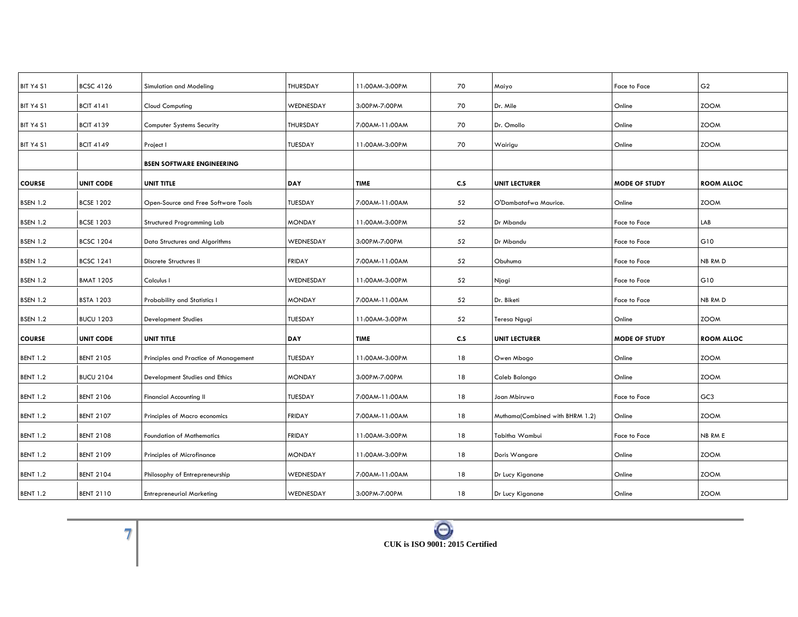| <b>BCSC 4126</b> | Simulation and Modeling               | THURSDAY        | 11:00AM-3:00PM | 70  | Maiyo                           | Face to Face         | G <sub>2</sub>    |
|------------------|---------------------------------------|-----------------|----------------|-----|---------------------------------|----------------------|-------------------|
| <b>BCIT 4141</b> | <b>Cloud Computing</b>                | WEDNESDAY       | 3:00PM-7:00PM  | 70  | Dr. Mile                        | Online               | <b>ZOOM</b>       |
| <b>BCIT 4139</b> | <b>Computer Systems Security</b>      | <b>THURSDAY</b> | 7:00AM-11:00AM | 70  | Dr. Omollo                      | Online               | <b>ZOOM</b>       |
| <b>BCIT 4149</b> | Project I                             | <b>TUESDAY</b>  | 11:00AM-3:00PM | 70  | Wairigu                         | Online               | <b>ZOOM</b>       |
|                  | <b>BSEN SOFTWARE ENGINEERING</b>      |                 |                |     |                                 |                      |                   |
| <b>UNIT CODE</b> | UNIT TITLE                            | DAY             | <b>TIME</b>    | C.S | <b>UNIT LECTURER</b>            | <b>MODE OF STUDY</b> | <b>ROOM ALLOC</b> |
| <b>BCSE 1202</b> | Open-Source and Free Software Tools   | <b>TUESDAY</b>  | 7:00AM-11:00AM | 52  | O'Dambatafwa Maurice.           | Online               | <b>ZOOM</b>       |
| <b>BCSE 1203</b> | Structured Programming Lab            | <b>MONDAY</b>   | 11:00AM-3:00PM | 52  | Dr Mbandu                       | Face to Face         | LAB               |
| <b>BCSC 1204</b> | Data Structures and Algorithms        | WEDNESDAY       | 3:00PM-7:00PM  | 52  | Dr Mbandu                       | Face to Face         | G10               |
| <b>BCSC 1241</b> | Discrete Structures II                | <b>FRIDAY</b>   | 7:00AM-11:00AM | 52  | Obuhuma                         | Face to Face         | NB RM D           |
| <b>BMAT 1205</b> | Calculus I                            | WEDNESDAY       | 11:00AM-3:00PM | 52  | Njagi                           | Face to Face         | G10               |
| <b>BSTA 1203</b> | Probability and Statistics I          | <b>MONDAY</b>   | 7:00AM-11:00AM | 52  | Dr. Biketi                      | Face to Face         | <b>NB RMD</b>     |
| <b>BUCU 1203</b> | <b>Development Studies</b>            | TUESDAY         | 11:00AM-3:00PM | 52  | Teresa Ngugi                    | Online               | <b>ZOOM</b>       |
| <b>UNIT CODE</b> | UNIT TITLE                            | DAY             | <b>TIME</b>    | C.S | <b>UNIT LECTURER</b>            | <b>MODE OF STUDY</b> | <b>ROOM ALLOC</b> |
| <b>BENT 2105</b> | Principles and Practice of Management | TUESDAY         | 11:00AM-3:00PM | 18  | Owen Mbogo                      | Online               | <b>ZOOM</b>       |
| <b>BUCU 2104</b> | Development Studies and Ethics        | <b>MONDAY</b>   | 3:00PM-7:00PM  | 18  | Caleb Balongo                   | Online               | <b>ZOOM</b>       |
| <b>BENT 2106</b> | <b>Financial Accounting II</b>        | <b>TUESDAY</b>  | 7:00AM-11:00AM | 18  | Joan Mbiruwa                    | Face to Face         | GC <sub>3</sub>   |
| <b>BENT 2107</b> | Principles of Macro economics         | <b>FRIDAY</b>   | 7:00AM-11:00AM | 18  | Muthama(Combined with BHRM 1.2) | Online               | <b>ZOOM</b>       |
| <b>BENT 2108</b> | <b>Foundation of Mathematics</b>      | <b>FRIDAY</b>   | 11:00AM-3:00PM | 18  | Tabitha Wambui                  | Face to Face         | NB RM E           |
| <b>BENT 2109</b> | Principles of Microfinance            | <b>MONDAY</b>   | 11:00AM-3:00PM | 18  | Doris Wangare                   | Online               | <b>ZOOM</b>       |
| <b>BENT 2104</b> | Philosophy of Entrepreneurship        | WEDNESDAY       | 7:00AM-11:00AM | 18  | Dr Lucy Kiganane                | Online               | <b>ZOOM</b>       |
| <b>BENT 2110</b> | <b>Entrepreneurial Marketing</b>      | WEDNESDAY       | 3:00PM-7:00PM  | 18  | Dr Lucy Kiganane                | Online               | <b>ZOOM</b>       |
|                  |                                       |                 |                |     |                                 |                      |                   |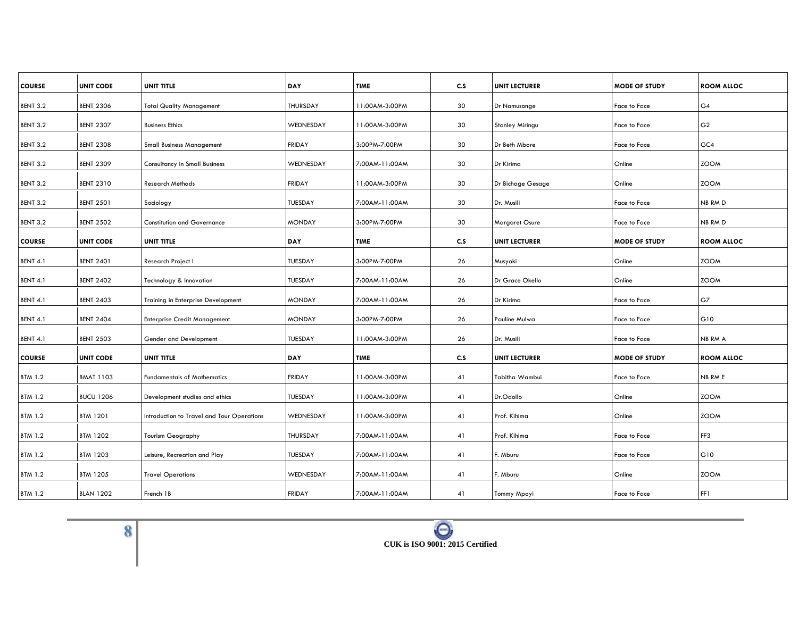| <b>COURSE</b>   | <b>UNIT CODE</b> | UNIT TITLE                                 | DAY           | <b>TIME</b>    | C.S | <b>UNIT LECTURER</b> | <b>MODE OF STUDY</b> | <b>ROOM ALLOC</b> |
|-----------------|------------------|--------------------------------------------|---------------|----------------|-----|----------------------|----------------------|-------------------|
| <b>BENT 3.2</b> | <b>BENT 2306</b> | <b>Total Quality Management</b>            | THURSDAY      | 11:00AM-3:00PM | 30  | Dr Namusonge         | Face to Face         | G4                |
| <b>BENT 3.2</b> | <b>BENT 2307</b> | <b>Business Ethics</b>                     | WEDNESDAY     | 11:00AM-3:00PM | 30  | Stanley Miringu      | Face to Face         | G <sub>2</sub>    |
|                 |                  |                                            |               |                |     |                      |                      |                   |
| <b>BENT 3.2</b> | <b>BENT 2308</b> | <b>Small Business Management</b>           | <b>FRIDAY</b> | 3:00PM-7:00PM  | 30  | Dr Beth Mbore        | Face to Face         | GC4               |
| <b>BENT 3.2</b> | <b>BENT 2309</b> | <b>Consultancy in Small Business</b>       | WEDNESDAY     | 7:00AM-11:00AM | 30  | Dr Kirima            | Online               | <b>ZOOM</b>       |
| <b>BENT 3.2</b> | <b>BENT 2310</b> | <b>Research Methods</b>                    | <b>FRIDAY</b> | 11:00AM-3:00PM | 30  | Dr Bichage Gesage    | Online               | <b>ZOOM</b>       |
| BENT 3.2        | <b>BENT 2501</b> | Sociology                                  | TUESDAY       | 7:00AM-11:00AM | 30  | Dr. Musili           | Face to Face         | NB RM D           |
| <b>BENT 3.2</b> | <b>BENT 2502</b> | <b>Constitution and Governance</b>         | <b>MONDAY</b> | 3:00PM-7:00PM  | 30  | Margaret Osure       | Face to Face         | NB RM D           |
| <b>COURSE</b>   | <b>UNIT CODE</b> | UNIT TITLE                                 | DAY           | <b>TIME</b>    | C.S | <b>UNIT LECTURER</b> | <b>MODE OF STUDY</b> | <b>ROOM ALLOC</b> |
| <b>BENT 4.1</b> | <b>BENT 2401</b> | Research Project I                         | TUESDAY       | 3:00PM-7:00PM  | 26  | Musyoki              | Online               | <b>ZOOM</b>       |
| <b>BENT 4.1</b> | <b>BENT 2402</b> | Technology & Innovation                    | TUESDAY       | 7:00AM-11:00AM | 26  | Dr Grace Okello      | Online               | <b>ZOOM</b>       |
|                 |                  |                                            |               |                |     |                      |                      |                   |
| <b>BENT 4.1</b> | <b>BENT 2403</b> | Training in Enterprise Development         | <b>MONDAY</b> | 7:00AM-11:00AM | 26  | Dr Kirima            | Face to Face         | G7                |
| <b>BENT 4.1</b> | <b>BENT 2404</b> | <b>Enterprise Credit Management</b>        | <b>MONDAY</b> | 3:00PM-7:00PM  | 26  | Pauline Mulwa        | Face to Face         | G10               |
| <b>BENT 4.1</b> | <b>BENT 2503</b> | Gender and Development                     | TUESDAY       | 11:00AM-3:00PM | 26  | Dr. Musili           | Face to Face         | NB RM A           |
| <b>COURSE</b>   | <b>UNIT CODE</b> | UNIT TITLE                                 | DAY           | <b>TIME</b>    | C.S | <b>UNIT LECTURER</b> | <b>MODE OF STUDY</b> | <b>ROOM ALLOC</b> |
| <b>BTM 1.2</b>  | <b>BMAT 1103</b> | <b>Fundamentals of Mathematics</b>         | <b>FRIDAY</b> | 11:00AM-3:00PM | 41  | Tabitha Wambui       | Face to Face         | NB RM E           |
| <b>BTM 1.2</b>  | <b>BUCU 1206</b> | Development studies and ethics             | TUESDAY       | 11:00AM-3:00PM | 41  | Dr.Odollo            | Online               | <b>ZOOM</b>       |
|                 |                  |                                            |               |                |     |                      |                      |                   |
| <b>BTM 1.2</b>  | <b>BTM 1201</b>  | Introduction to Travel and Tour Operations | WEDNESDAY     | 11:00AM-3:00PM | 41  | Prof. Kihima         | Online               | <b>ZOOM</b>       |
| <b>BTM 1.2</b>  | <b>BTM 1202</b>  | <b>Tourism Geography</b>                   | THURSDAY      | 7:00AM-11:00AM | 41  | Prof. Kihima         | Face to Face         | FF3               |
| <b>BTM 1.2</b>  | <b>BTM 1203</b>  | Leisure, Recreation and Play               | TUESDAY       | 7:00AM-11:00AM | 41  | F. Mburu             | Face to Face         | G10               |
| <b>BTM 1.2</b>  | <b>BTM 1205</b>  | <b>Travel Operations</b>                   | WEDNESDAY     | 7:00AM-11:00AM | 41  | F. Mburu             | Online               | <b>ZOOM</b>       |
| <b>BTM 1.2</b>  | <b>BLAN 1202</b> | French 1B                                  | <b>FRIDAY</b> | 7:00AM-11:00AM | 41  | Tommy Mpoyi          | Face to Face         | FF1               |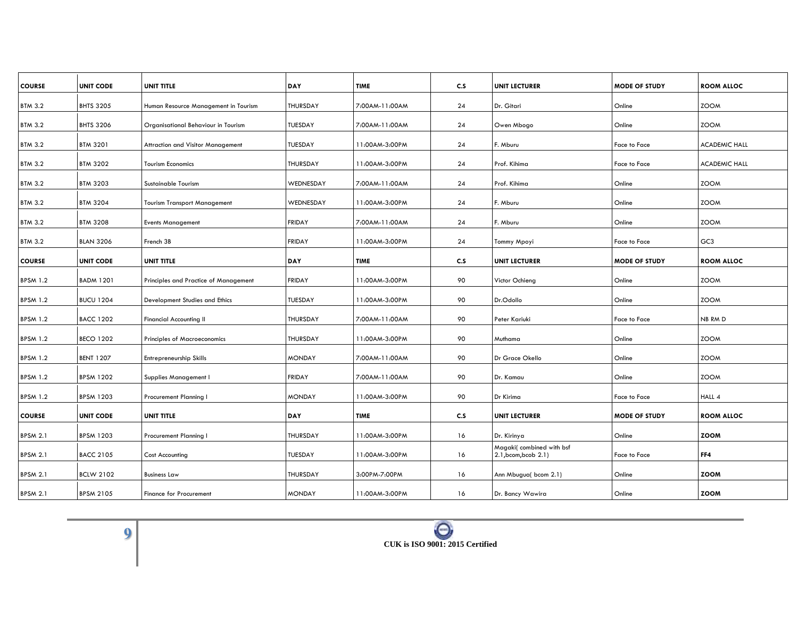| <b>UNIT CODE</b> | <b>UNIT TITLE</b>                                       | DAY                                                                                                                             | <b>TIME</b>                     | C.S                                             | <b>UNIT LECTURER</b>        | <b>MODE OF STUDY</b>                                                                                        | <b>ROOM ALLOC</b>                              |
|------------------|---------------------------------------------------------|---------------------------------------------------------------------------------------------------------------------------------|---------------------------------|-------------------------------------------------|-----------------------------|-------------------------------------------------------------------------------------------------------------|------------------------------------------------|
| <b>BHTS 3205</b> | Human Resource Management in Tourism                    | <b>THURSDAY</b>                                                                                                                 | 7:00AM-11:00AM                  | 24                                              | Dr. Gitari                  | Online                                                                                                      | <b>ZOOM</b>                                    |
| <b>BHTS 3206</b> |                                                         | TUESDAY                                                                                                                         | 7:00AM-11:00AM                  |                                                 |                             | Online                                                                                                      | <b>ZOOM</b>                                    |
|                  |                                                         |                                                                                                                                 |                                 |                                                 |                             |                                                                                                             |                                                |
|                  |                                                         |                                                                                                                                 |                                 |                                                 |                             |                                                                                                             | <b>ACADEMIC HALL</b>                           |
| <b>BTM 3202</b>  | <b>Tourism Economics</b>                                | <b>THURSDAY</b>                                                                                                                 | 11:00AM-3:00PM                  | 24                                              | Prof. Kihima                | Face to Face                                                                                                | <b>ACADEMIC HALL</b>                           |
| <b>BTM 3203</b>  | Sustainable Tourism                                     | WEDNESDAY                                                                                                                       | 7:00AM-11:00AM                  | 24                                              | Prof. Kihima                | Online                                                                                                      | <b>ZOOM</b>                                    |
| <b>BTM 3204</b>  | <b>Tourism Transport Management</b>                     | WEDNESDAY                                                                                                                       | 11:00AM-3:00PM                  | 24                                              | F. Mburu                    | Online                                                                                                      | <b>ZOOM</b>                                    |
| <b>BTM 3208</b>  | <b>Events Management</b>                                | <b>FRIDAY</b>                                                                                                                   | 7:00AM-11:00AM                  | 24                                              | F. Mburu                    | Online                                                                                                      | <b>ZOOM</b>                                    |
| <b>BLAN 3206</b> | French 3B                                               | <b>FRIDAY</b>                                                                                                                   | 11:00AM-3:00PM                  |                                                 |                             | Face to Face                                                                                                | GC <sub>3</sub>                                |
| <b>UNIT CODE</b> | UNIT TITLE                                              | <b>DAY</b>                                                                                                                      | <b>TIME</b>                     | C.S                                             | <b>UNIT LECTURER</b>        | <b>MODE OF STUDY</b>                                                                                        | <b>ROOM ALLOC</b>                              |
|                  |                                                         |                                                                                                                                 |                                 |                                                 |                             |                                                                                                             |                                                |
|                  |                                                         |                                                                                                                                 |                                 |                                                 |                             |                                                                                                             | <b>ZOOM</b>                                    |
| <b>BUCU 1204</b> | Development Studies and Ethics                          | TUESDAY                                                                                                                         | 11:00AM-3:00PM                  | 90                                              | Dr.Odollo                   | Online                                                                                                      | <b>ZOOM</b>                                    |
| <b>BACC 1202</b> | <b>Financial Accounting II</b>                          | THURSDAY                                                                                                                        | 7:00AM-11:00AM                  | 90                                              | Peter Kariuki               | Face to Face                                                                                                | NB RM D                                        |
| <b>BECO 1202</b> | <b>Principles of Macroeconomics</b>                     | <b>THURSDAY</b>                                                                                                                 | 11:00AM-3:00PM                  | 90                                              | Muthama                     | Online                                                                                                      | <b>ZOOM</b>                                    |
| <b>BENT 1207</b> | Entrepreneurship Skills                                 | <b>MONDAY</b>                                                                                                                   | 7:00AM-11:00AM                  | 90                                              | Dr Grace Okello             | Online                                                                                                      | <b>ZOOM</b>                                    |
| <b>BPSM 1202</b> | Supplies Management I                                   | <b>FRIDAY</b>                                                                                                                   | 7:00AM-11:00AM                  | 90                                              | Dr. Kamau                   | Online                                                                                                      | <b>ZOOM</b>                                    |
| <b>BPSM 1203</b> | Procurement Planning I                                  | <b>MONDAY</b>                                                                                                                   | 11:00AM-3:00PM                  | 90                                              | Dr Kirima                   | Face to Face                                                                                                | HALL 4                                         |
|                  |                                                         |                                                                                                                                 |                                 |                                                 |                             |                                                                                                             | <b>ROOM ALLOC</b>                              |
|                  |                                                         |                                                                                                                                 |                                 |                                                 |                             |                                                                                                             |                                                |
| <b>BPSM 1203</b> | Procurement Planning I                                  | THURSDAY                                                                                                                        | 11:00AM-3:00PM                  | 16                                              | Dr. Kirinya                 | Online                                                                                                      | <b>ZOOM</b>                                    |
| <b>BACC 2105</b> | <b>Cost Accounting</b>                                  | TUESDAY                                                                                                                         | 11:00AM-3:00PM                  | 16                                              | 2.1, bcom, bcob 2.1)        | Face to Face                                                                                                | FF4                                            |
| <b>BCLW 2102</b> | <b>Business Law</b>                                     | <b>THURSDAY</b>                                                                                                                 | 3:00PM-7:00PM                   | 16                                              | Ann Mbugua(bcom 2.1)        | Online                                                                                                      | <b>ZOOM</b>                                    |
| <b>BPSM 2105</b> | <b>Finance for Procurement</b>                          | <b>MONDAY</b>                                                                                                                   | 11:00AM-3:00PM                  | 16                                              | Dr. Bancy Wawira            | Online                                                                                                      | <b>ZOOM</b>                                    |
|                  | <b>BTM 3201</b><br><b>BADM 1201</b><br><b>UNIT CODE</b> | Organisational Behaviour in Tourism<br>Attraction and Visitor Management<br>Principles and Practice of Management<br>UNIT TITLE | TUESDAY<br><b>FRIDAY</b><br>DAY | 11:00AM-3:00PM<br>11:00AM-3:00PM<br><b>TIME</b> | 24<br>24<br>24<br>90<br>C.S | Owen Mbogo<br>F. Mburu<br>Tommy Mpoyi<br>Victor Ochieng<br><b>UNIT LECTURER</b><br>Magaki(combined with bsf | Face to Face<br>Online<br><b>MODE OF STUDY</b> |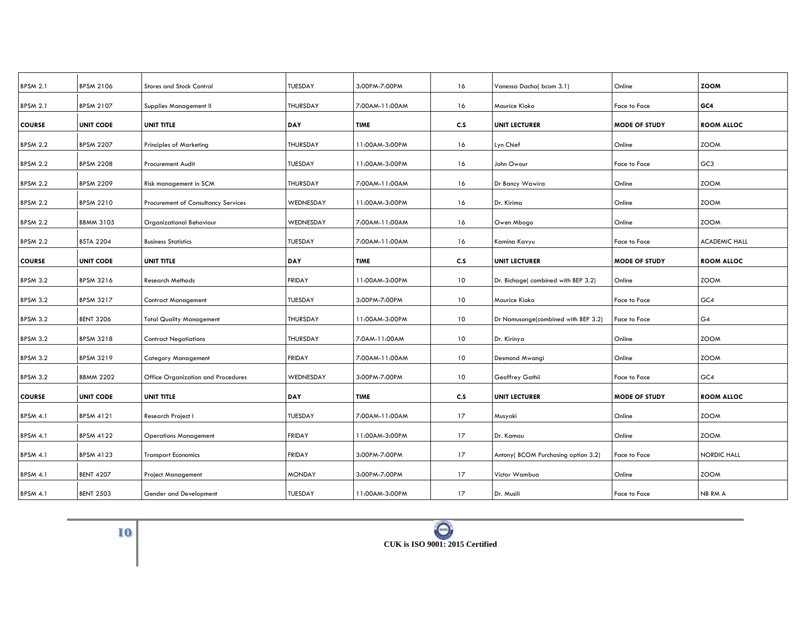| <b>BPSM 2.1</b> | <b>BPSM 2106</b> | <b>Stores and Stock Control</b>     | <b>TUESDAY</b>  | 3:00PM-7:00PM  | 16              | Vanessa Dacha(bcom 3.1)             | Online               | <b>ZOOM</b>          |
|-----------------|------------------|-------------------------------------|-----------------|----------------|-----------------|-------------------------------------|----------------------|----------------------|
| <b>BPSM 2.1</b> | <b>BPSM 2107</b> | Supplies Management II              | <b>THURSDAY</b> | 7:00AM-11:00AM | 16              | Maurice Kioko                       | Face to Face         | GC4                  |
| <b>COURSE</b>   | <b>UNIT CODE</b> | UNIT TITLE                          | DAY             | TIME           | c.s             | <b>UNIT LECTURER</b>                | <b>MODE OF STUDY</b> | <b>ROOM ALLOC</b>    |
| <b>BPSM 2.2</b> | <b>BPSM 2207</b> | <b>Principles of Marketing</b>      | THURSDAY        | 11:00AM-3:00PM | 16              | Lyn Chief                           | Online               | <b>ZOOM</b>          |
| <b>BPSM 2.2</b> | <b>BPSM 2208</b> | <b>Procurement Audit</b>            | <b>TUESDAY</b>  | 11:00AM-3:00PM | 16              | John Owour                          | <b>Face to Face</b>  | GC <sub>3</sub>      |
| <b>BPSM 2.2</b> | <b>BPSM 2209</b> | Risk management in SCM              | THURSDAY        | 7:00AM-11:00AM | 16              | Dr Bancy Wawira                     | Online               | <b>ZOOM</b>          |
| <b>BPSM 2.2</b> | <b>BPSM 2210</b> | Procurement of Consultancy Services | WEDNESDAY       | 11:00AM-3:00PM | 16              | Dr. Kirima                          | Online               | <b>ZOOM</b>          |
| <b>BPSM 2.2</b> | <b>BBMM 3105</b> | Organizational Behaviour            | WEDNESDAY       | 7:00AM-11:00AM | 16              | Owen Mbogo                          | Online               | <b>ZOOM</b>          |
| <b>BPSM 2.2</b> | <b>BSTA 2204</b> | <b>Business Statistics</b>          | <b>TUESDAY</b>  | 7:00AM-11:00AM | 16              | Kamina Kavyu                        | Face to Face         | <b>ACADEMIC HALL</b> |
| <b>COURSE</b>   | <b>UNIT CODE</b> | UNIT TITLE                          | DAY             | <b>TIME</b>    | c.s             | <b>UNIT LECTURER</b>                | <b>MODE OF STUDY</b> | <b>ROOM ALLOC</b>    |
| <b>BPSM 3.2</b> | <b>BPSM 3216</b> | <b>Research Methods</b>             | <b>FRIDAY</b>   | 11:00AM-3:00PM | 10              | Dr. Bichage(combined with BEP 3.2)  | Online               | <b>ZOOM</b>          |
| <b>BPSM 3.2</b> | <b>BPSM 3217</b> | <b>Contract Management</b>          | <b>TUESDAY</b>  | 3:00PM-7:00PM  | 10              | Maurice Kioko                       | Face to Face         | GC4                  |
| <b>BPSM 3.2</b> | <b>BENT 3206</b> | <b>Total Quality Management</b>     | THURSDAY        | 11:00AM-3:00PM | 10 <sup>°</sup> | Dr Namusonge(combined with BEP 3.2) | Face to Face         | G4                   |
| <b>BPSM 3.2</b> | <b>BPSM 3218</b> | <b>Contract Negotiations</b>        | THURSDAY        | 7:0AM-11:00AM  | 10              | Dr. Kirinya                         | Online               | <b>ZOOM</b>          |
| <b>BPSM 3.2</b> | <b>BPSM 3219</b> | <b>Category Management</b>          | <b>FRIDAY</b>   | 7:00AM-11:00AM | 10              | Desmond Mwangi                      | Online               | <b>ZOOM</b>          |
| <b>BPSM 3.2</b> | <b>BBMM 2202</b> | Office Organization and Procedures  | WEDNESDAY       | 3:00PM-7:00PM  | 10 <sup>°</sup> | Geoffrey Gathii                     | Face to Face         | GC4                  |
| <b>COURSE</b>   | <b>UNIT CODE</b> | UNIT TITLE                          | DAY             | <b>TIME</b>    | c.s             | <b>UNIT LECTURER</b>                | <b>MODE OF STUDY</b> | <b>ROOM ALLOC</b>    |
| <b>BPSM 4.1</b> | <b>BPSM 4121</b> | Research Project I                  | <b>TUESDAY</b>  | 7:00AM-11:00AM | 17              | Musyoki                             | Online               | <b>ZOOM</b>          |
| <b>BPSM 4.1</b> | <b>BPSM 4122</b> | <b>Operations Management</b>        | <b>FRIDAY</b>   | 11:00AM-3:00PM | 17              | Dr. Kamau                           | Online               | <b>ZOOM</b>          |
| <b>BPSM 4.1</b> | <b>BPSM 4123</b> | <b>Transport Economics</b>          | <b>FRIDAY</b>   | 3:00PM-7:00PM  | 17              | Antony(BCOM Purchasing option 3.2)  | Face to Face         | NORDIC HALL          |
| <b>BPSM 4.1</b> | <b>BENT 4207</b> | <b>Project Management</b>           | <b>MONDAY</b>   | 3:00PM-7:00PM  | 17              | Victor Wambua                       | Online               | <b>ZOOM</b>          |
| <b>BPSM 4.1</b> | <b>BENT 2503</b> | Gender and Development              | <b>TUESDAY</b>  | 11:00AM-3:00PM | 17              | Dr. Musili                          | Face to Face         | NB RM A              |
|                 |                  |                                     |                 |                |                 |                                     |                      |                      |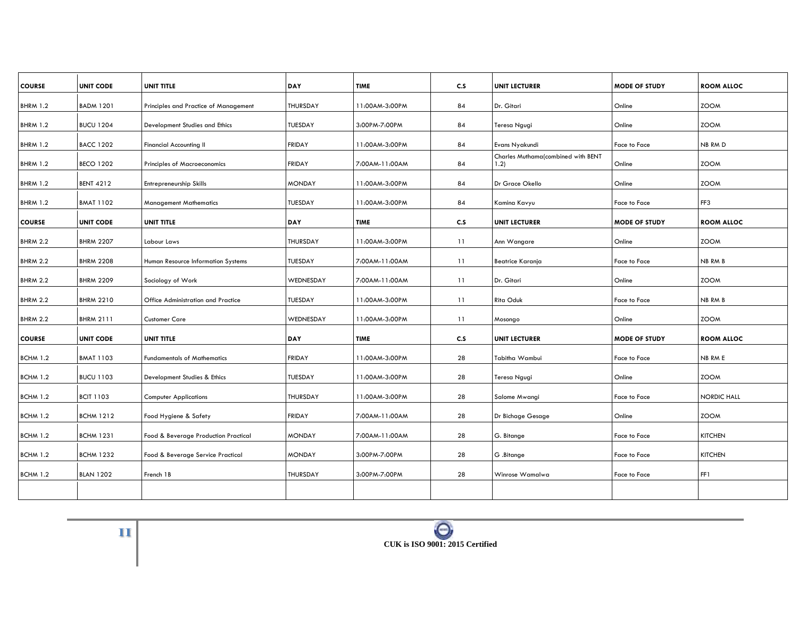| <b>COURSE</b>   | <b>UNIT CODE</b> | UNIT TITLE                            | DAY             | <b>TIME</b>    | C.S | <b>UNIT LECTURER</b>                       | <b>MODE OF STUDY</b> | <b>ROOM ALLOC</b> |
|-----------------|------------------|---------------------------------------|-----------------|----------------|-----|--------------------------------------------|----------------------|-------------------|
| <b>BHRM 1.2</b> | <b>BADM 1201</b> | Principles and Practice of Management | <b>THURSDAY</b> | 11:00AM-3:00PM | 84  | Dr. Gitari                                 | Online               | <b>ZOOM</b>       |
| <b>BHRM 1.2</b> | <b>BUCU 1204</b> | Development Studies and Ethics        | TUESDAY         | 3:00PM-7:00PM  | 84  | Teresa Ngugi                               | Online               | <b>ZOOM</b>       |
| <b>BHRM 1.2</b> | <b>BACC 1202</b> | Financial Accounting II               | <b>FRIDAY</b>   | 11:00AM-3:00PM | 84  | Evans Nyakundi                             | Face to Face         | NB RM D           |
| <b>BHRM 1.2</b> | <b>BECO 1202</b> | Principles of Macroeconomics          | <b>FRIDAY</b>   | 7:00AM-11:00AM | 84  | Charles Muthama(combined with BENT<br>1.2) | Online               | <b>ZOOM</b>       |
| <b>BHRM 1.2</b> | <b>BENT 4212</b> | Entrepreneurship Skills               | <b>MONDAY</b>   | 11:00AM-3:00PM | 84  | Dr Grace Okello                            | Online               | <b>ZOOM</b>       |
| <b>BHRM 1.2</b> | <b>BMAT 1102</b> | <b>Management Mathematics</b>         | TUESDAY         | 11:00AM-3:00PM | 84  | Kamina Kavyu                               | Face to Face         | FF3               |
| <b>COURSE</b>   | <b>UNIT CODE</b> | UNIT TITLE                            | <b>DAY</b>      | <b>TIME</b>    | C.S | <b>UNIT LECTURER</b>                       | <b>MODE OF STUDY</b> | <b>ROOM ALLOC</b> |
| <b>BHRM 2.2</b> | <b>BHRM 2207</b> | Labour Laws                           | <b>THURSDAY</b> | 11:00AM-3:00PM | 11  | Ann Wangare                                | Online               | <b>ZOOM</b>       |
| <b>BHRM 2.2</b> | <b>BHRM 2208</b> | Human Resource Information Systems    | TUESDAY         | 7:00AM-11:00AM | 11  | Beatrice Karanja                           | Face to Face         | <b>NB RM B</b>    |
| <b>BHRM 2.2</b> | <b>BHRM 2209</b> | Sociology of Work                     | WEDNESDAY       | 7:00AM-11:00AM | 11  | Dr. Gitari                                 | Online               | <b>ZOOM</b>       |
| <b>BHRM 2.2</b> | <b>BHRM 2210</b> | Office Administration and Practice    | TUESDAY         | 11:00AM-3:00PM | 11  | <b>Rita Oduk</b>                           | Face to Face         | <b>NB RM B</b>    |
| <b>BHRM 2.2</b> | <b>BHRM 2111</b> | <b>Customer Care</b>                  | WEDNESDAY       | 11:00AM-3:00PM | 11  | Mosongo                                    | Online               | <b>ZOOM</b>       |
| <b>COURSE</b>   | <b>UNIT CODE</b> | UNIT TITLE                            | <b>DAY</b>      | <b>TIME</b>    | C.S | <b>UNIT LECTURER</b>                       | <b>MODE OF STUDY</b> | <b>ROOM ALLOC</b> |
| <b>BCHM 1.2</b> | <b>BMAT 1103</b> | <b>Fundamentals of Mathematics</b>    | <b>FRIDAY</b>   | 11:00AM-3:00PM | 28  | Tabitha Wambui                             | Face to Face         | NB RM E           |
| <b>BCHM 1.2</b> | <b>BUCU 1103</b> | Development Studies & Ethics          | TUESDAY         | 11:00AM-3:00PM | 28  | Teresa Ngugi                               | Online               | <b>ZOOM</b>       |
| <b>BCHM 1.2</b> | <b>BCIT 1103</b> | <b>Computer Applications</b>          | THURSDAY        | 11:00AM-3:00PM | 28  | Salome Mwangi                              | Face to Face         | NORDIC HALL       |
| <b>BCHM 1.2</b> | <b>BCHM 1212</b> | Food Hygiene & Safety                 | <b>FRIDAY</b>   | 7:00AM-11:00AM | 28  | Dr Bichage Gesage                          | Online               | <b>ZOOM</b>       |
| <b>BCHM 1.2</b> | <b>BCHM 1231</b> | Food & Beverage Production Practical  | <b>MONDAY</b>   | 7:00AM-11:00AM | 28  | G. Bitange                                 | Face to Face         | <b>KITCHEN</b>    |
| <b>BCHM 1.2</b> | <b>BCHM 1232</b> | Food & Beverage Service Practical     | <b>MONDAY</b>   | 3:00PM-7:00PM  | 28  | G .Bitange                                 | Face to Face         | <b>KITCHEN</b>    |
| <b>BCHM 1.2</b> | <b>BLAN 1202</b> | French 1B                             | <b>THURSDAY</b> | 3:00PM-7:00PM  | 28  | Winrose Wamalwa                            | Face to Face         | FF1               |
|                 |                  |                                       |                 |                |     |                                            |                      |                   |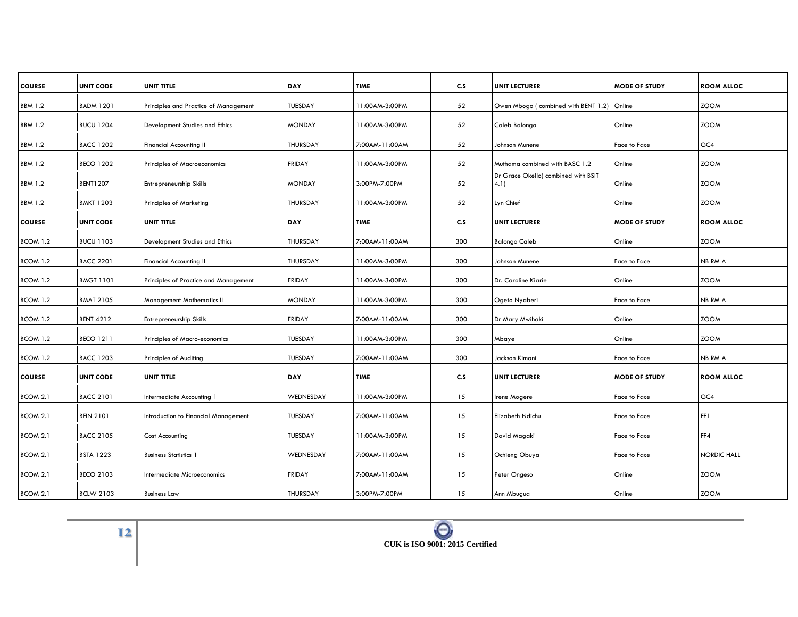| <b>COURSE</b>   | <b>UNIT CODE</b> | <b>UNIT TITLE</b>                     | DAY             | <b>TIME</b>    | c.s | <b>UNIT LECTURER</b>                        | <b>MODE OF STUDY</b> | <b>ROOM ALLOC</b>  |
|-----------------|------------------|---------------------------------------|-----------------|----------------|-----|---------------------------------------------|----------------------|--------------------|
| <b>BBM 1.2</b>  | <b>BADM 1201</b> | Principles and Practice of Management | <b>TUESDAY</b>  | 11:00AM-3:00PM | 52  | Owen Mbogo (combined with BENT 1.2) Online  |                      | <b>ZOOM</b>        |
| <b>BBM 1.2</b>  | <b>BUCU 1204</b> | Development Studies and Ethics        | <b>MONDAY</b>   | 11:00AM-3:00PM | 52  | Caleb Balongo                               | Online               | <b>ZOOM</b>        |
| <b>BBM 1.2</b>  | <b>BACC 1202</b> | <b>Financial Accounting II</b>        | THURSDAY        | 7:00AM-11:00AM | 52  | Johnson Munene                              | Face to Face         | GC4                |
| <b>BBM 1.2</b>  | <b>BECO 1202</b> | <b>Principles of Macroeconomics</b>   | <b>FRIDAY</b>   | 11:00AM-3:00PM | 52  | Muthama combined with BASC 1.2              | Online               | <b>ZOOM</b>        |
| <b>BBM 1.2</b>  | <b>BENT1207</b>  | Entrepreneurship Skills               | <b>MONDAY</b>   | 3:00PM-7:00PM  | 52  | Dr Grace Okello( combined with BSIT<br>4.1) | Online               | <b>ZOOM</b>        |
| <b>BBM 1.2</b>  | <b>BMKT 1203</b> | <b>Principles of Marketing</b>        | THURSDAY        | 11:00AM-3:00PM | 52  | Lyn Chief                                   | Online               | <b>ZOOM</b>        |
| <b>COURSE</b>   | <b>UNIT CODE</b> | UNIT TITLE                            | <b>DAY</b>      | <b>TIME</b>    | c.s | <b>UNIT LECTURER</b>                        | <b>MODE OF STUDY</b> | <b>ROOM ALLOC</b>  |
| BCOM 1.2        | <b>BUCU 1103</b> | Development Studies and Ethics        | <b>THURSDAY</b> | 7:00AM-11:00AM | 300 | <b>Balongo Caleb</b>                        | Online               | <b>ZOOM</b>        |
| BCOM 1.2        | <b>BACC 2201</b> | Financial Accounting II               | THURSDAY        | 11:00AM-3:00PM | 300 | Johnson Munene                              | Face to Face         | NB RM A            |
| BCOM 1.2        | <b>BMGT 1101</b> | Principles of Practice and Management | <b>FRIDAY</b>   | 11:00AM-3:00PM | 300 | Dr. Caroline Kiarie                         | Online               | <b>ZOOM</b>        |
| BCOM 1.2        | <b>BMAT 2105</b> | <b>Management Mathematics II</b>      | <b>MONDAY</b>   | 11:00AM-3:00PM | 300 | Ogeto Nyaberi                               | Face to Face         | <b>NB RM A</b>     |
| BCOM 1.2        | <b>BENT 4212</b> | Entrepreneurship Skills               | <b>FRIDAY</b>   | 7:00AM-11:00AM | 300 | Dr Mary Mwihaki                             | Online               | <b>ZOOM</b>        |
| BCOM 1.2        | <b>BECO 1211</b> | Principles of Macro-economics         | <b>TUESDAY</b>  | 11:00AM-3:00PM | 300 | Mbaye                                       | Online               | <b>ZOOM</b>        |
| <b>BCOM 1.2</b> | <b>BACC 1203</b> | Principles of Auditing                | <b>TUESDAY</b>  | 7:00AM-11:00AM | 300 | Jackson Kimani                              | Face to Face         | NB RM A            |
| <b>COURSE</b>   | <b>UNIT CODE</b> | UNIT TITLE                            | <b>DAY</b>      | TIME           | C.S | <b>UNIT LECTURER</b>                        | <b>MODE OF STUDY</b> | <b>ROOM ALLOC</b>  |
| BCOM 2.1        | <b>BACC 2101</b> | Intermediate Accounting 1             | WEDNESDAY       | 11:00AM-3:00PM | 15  | Irene Mogere                                | Face to Face         | GC4                |
| BCOM 2.1        | <b>BFIN 2101</b> | Introduction to Financial Management  | TUESDAY         | 7:00AM-11:00AM | 15  | Elizabeth Ndichu                            | Face to Face         | FF1                |
| BCOM 2.1        | <b>BACC 2105</b> | Cost Accounting                       | <b>TUESDAY</b>  | 11:00AM-3:00PM | 15  | David Magaki                                | Face to Face         | FF4                |
| BCOM 2.1        | <b>BSTA 1223</b> | <b>Business Statistics 1</b>          | WEDNESDAY       | 7:00AM-11:00AM | 15  | Ochieng Obuya                               | Face to Face         | <b>NORDIC HALL</b> |
| BCOM 2.1        | <b>BECO 2103</b> | Intermediate Microeconomics           | <b>FRIDAY</b>   | 7:00AM-11:00AM | 15  | Peter Ongeso                                | Online               | <b>ZOOM</b>        |
| BCOM 2.1        | <b>BCLW 2103</b> | <b>Business Law</b>                   | THURSDAY        | 3:00PM-7:00PM  | 15  | Ann Mbugua                                  | Online               | <b>ZOOM</b>        |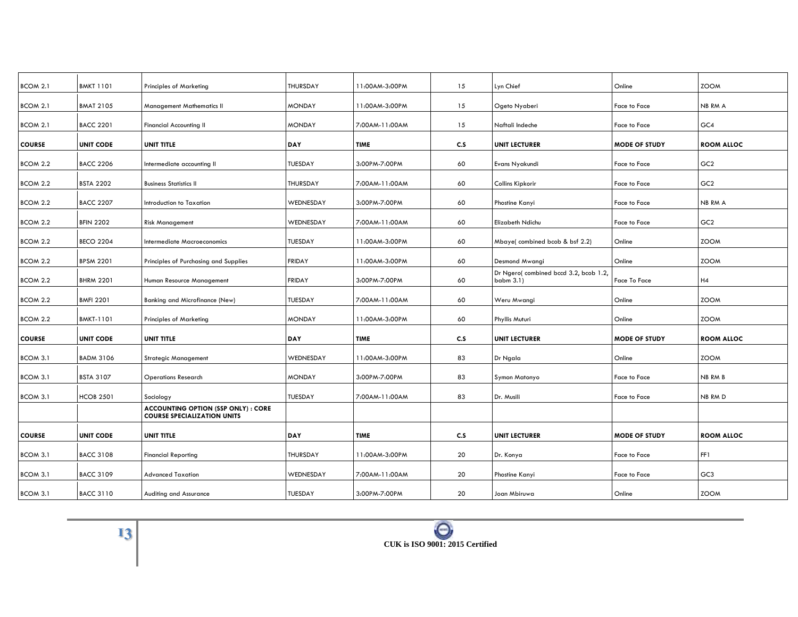| <b>BMKT 1101</b> | <b>Principles of Marketing</b>                                                   | THURSDAY                                                        | 11:00AM-3:00PM | 15             | Lyn Chief                                             | Online                                                               | <b>ZOOM</b>       |
|------------------|----------------------------------------------------------------------------------|-----------------------------------------------------------------|----------------|----------------|-------------------------------------------------------|----------------------------------------------------------------------|-------------------|
| <b>BMAT 2105</b> | <b>Management Mathematics II</b>                                                 | <b>MONDAY</b>                                                   | 11:00AM-3:00PM | 15             | Ogeto Nyaberi                                         | Face to Face                                                         | NB RM A           |
| <b>BACC 2201</b> | <b>Financial Accounting II</b>                                                   | <b>MONDAY</b>                                                   | 7:00AM-11:00AM | 15             | Naftali Indeche                                       | Face to Face                                                         | GC4               |
| <b>UNIT CODE</b> | UNIT TITLE                                                                       | DAY                                                             | <b>TIME</b>    | C.S            | <b>UNIT LECTURER</b>                                  | <b>MODE OF STUDY</b>                                                 | <b>ROOM ALLOC</b> |
| <b>BACC 2206</b> | Intermediate accounting II                                                       | TUESDAY                                                         | 3:00PM-7:00PM  | 60             | Evans Nyakundi                                        | Face to Face                                                         | GC <sub>2</sub>   |
| <b>BSTA 2202</b> | <b>Business Statistics II</b>                                                    | THURSDAY                                                        | 7:00AM-11:00AM | 60             | Collins Kipkorir                                      | Face to Face                                                         | GC <sub>2</sub>   |
| <b>BACC 2207</b> | Introduction to Taxation                                                         | WEDNESDAY                                                       | 3:00PM-7:00PM  | 60             | Phostine Kanyi                                        | Face to Face                                                         | NB RM A           |
| <b>BFIN 2202</b> |                                                                                  | WEDNESDAY                                                       | 7:00AM-11:00AM |                |                                                       | Face to Face                                                         | GC <sub>2</sub>   |
| <b>BECO 2204</b> | Intermediate Macroeconomics                                                      | TUESDAY                                                         | 11:00AM-3:00PM | 60             |                                                       | Online                                                               | <b>ZOOM</b>       |
|                  |                                                                                  |                                                                 |                |                |                                                       |                                                                      | <b>ZOOM</b>       |
| <b>BHRM 2201</b> | Human Resource Management                                                        | <b>FRIDAY</b>                                                   | 3:00PM-7:00PM  | 60             | Dr Ngero(combined bccd 3.2, bcob 1.2,<br>babm $3.1$ ) | Face To Face                                                         | H4                |
| <b>BMFI 2201</b> | Banking and Microfinance (New)                                                   | TUESDAY                                                         | 7:00AM-11:00AM | 60             | Weru Mwangi                                           | Online                                                               | <b>ZOOM</b>       |
| <b>BMKT-1101</b> | <b>Principles of Marketing</b>                                                   | <b>MONDAY</b>                                                   | 11:00AM-3:00PM | 60             | Phyllis Muturi                                        | Online                                                               | <b>ZOOM</b>       |
| <b>UNIT CODE</b> | UNIT TITLE                                                                       | <b>DAY</b>                                                      | <b>TIME</b>    | C.S            | <b>UNIT LECTURER</b>                                  | <b>MODE OF STUDY</b>                                                 | <b>ROOM ALLOC</b> |
| <b>BADM 3106</b> | <b>Strategic Management</b>                                                      | WEDNESDAY                                                       | 11:00AM-3:00PM | 83             | Dr Ngala                                              | Online                                                               | <b>ZOOM</b>       |
| <b>BSTA 3107</b> | <b>Operations Research</b>                                                       | <b>MONDAY</b>                                                   | 3:00PM-7:00PM  | 83             | Symon Matonyo                                         | Face to Face                                                         | <b>NB RM B</b>    |
| <b>HCOB 2501</b> | Sociology                                                                        | TUESDAY                                                         | 7:00AM-11:00AM | 83             | Dr. Musili                                            | Face to Face                                                         | NB RM D           |
|                  | <b>ACCOUNTING OPTION (SSP ONLY) : CORE</b><br><b>COURSE SPECIALIZATION UNITS</b> |                                                                 |                |                |                                                       |                                                                      |                   |
| <b>UNIT CODE</b> | UNIT TITLE                                                                       | DAY                                                             | <b>TIME</b>    | C.S            | <b>UNIT LECTURER</b>                                  | <b>MODE OF STUDY</b>                                                 | <b>ROOM ALLOC</b> |
| <b>BACC 3108</b> | <b>Financial Reporting</b>                                                       | THURSDAY                                                        | 11:00AM-3:00PM | 20             | Dr. Konya                                             | Face to Face                                                         | FF1               |
| <b>BACC 3109</b> | <b>Advanced Taxation</b>                                                         | WEDNESDAY                                                       | 7:00AM-11:00AM | 20             | Phostine Kanyi                                        | Face to Face                                                         | GC <sub>3</sub>   |
| <b>BACC 3110</b> | Auditing and Assurance                                                           | TUESDAY                                                         | 3:00PM-7:00PM  | 20             | Joan Mbiruwa                                          | Online                                                               | <b>ZOOM</b>       |
|                  | <b>BPSM 2201</b>                                                                 | <b>Risk Management</b><br>Principles of Purchasing and Supplies | <b>FRIDAY</b>  | 11:00AM-3:00PM | 60<br>60                                              | Elizabeth Ndichu<br>Mbaye(combined bcob & bsf 2.2)<br>Desmond Mwangi | Online            |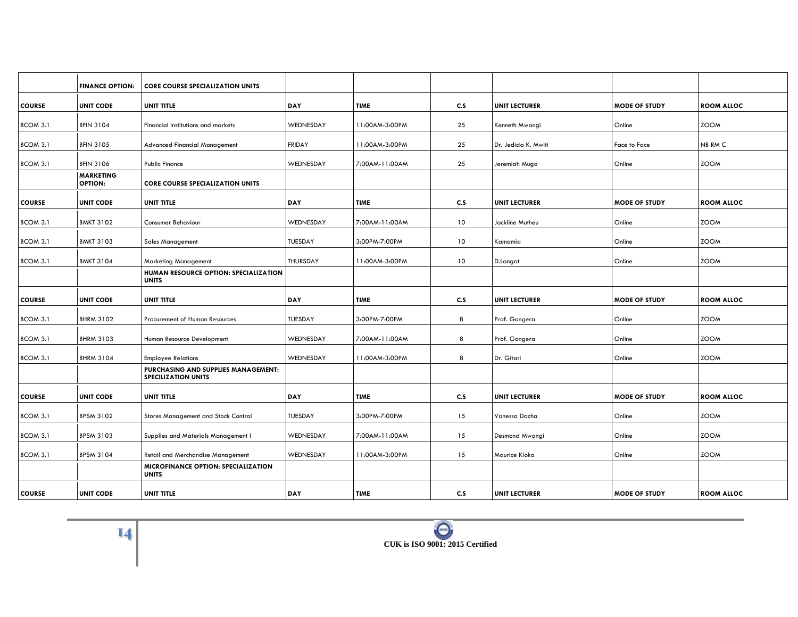|               | <b>FINANCE OPTION:</b>             | <b>CORE COURSE SPECIALIZATION UNITS</b>                           |                |                |                 |                      |                      |                   |
|---------------|------------------------------------|-------------------------------------------------------------------|----------------|----------------|-----------------|----------------------|----------------------|-------------------|
| <b>COURSE</b> | <b>UNIT CODE</b>                   | <b>UNIT TITLE</b>                                                 | <b>DAY</b>     | <b>TIME</b>    | C.S             | <b>UNIT LECTURER</b> | MODE OF STUDY        | <b>ROOM ALLOC</b> |
| BCOM 3.1      | <b>BFIN 3104</b>                   | Financial institutions and markets                                | WEDNESDAY      | 11:00AM-3:00PM | 25              | Kenneth Mwangi       | Online               | <b>ZOOM</b>       |
| BCOM 3.1      | <b>BFIN 3105</b>                   | <b>Advanced Financial Management</b>                              | <b>FRIDAY</b>  | 11:00AM-3:00PM | 25              | Dr. Jedida K. Mwiti  | Face to Face         | NB RM C           |
| BCOM 3.1      | <b>BFIN 3106</b>                   | <b>Public Finance</b>                                             | WEDNESDAY      | 7:00AM-11:00AM | 25              | Jeremiah Mugo        | Online               | <b>ZOOM</b>       |
|               | <b>MARKETING</b><br><b>OPTION:</b> | <b>CORE COURSE SPECIALIZATION UNITS</b>                           |                |                |                 |                      |                      |                   |
| <b>COURSE</b> | <b>UNIT CODE</b>                   | <b>UNIT TITLE</b>                                                 | <b>DAY</b>     | <b>TIME</b>    | C.S             | <b>UNIT LECTURER</b> | <b>MODE OF STUDY</b> | <b>ROOM ALLOC</b> |
| BCOM 3.1      | <b>BMKT 3102</b>                   | <b>Consumer Behaviour</b>                                         | WEDNESDAY      | 7:00AM-11:00AM | 10              | Jackline Mutheu      | Online               | <b>ZOOM</b>       |
| BCOM 3.1      | <b>BMKT 3103</b>                   | <b>Sales Management</b>                                           | TUESDAY        | 3:00PM-7:00PM  | 10              | Kamamia              | Online               | <b>ZOOM</b>       |
| BCOM 3.1      | <b>BMKT 3104</b>                   | <b>Marketing Management</b>                                       | THURSDAY       | 11:00AM-3:00PM | 10 <sup>°</sup> | D.Langat             | Online               | <b>ZOOM</b>       |
|               |                                    | HUMAN RESOURCE OPTION: SPECIALIZATION<br><b>UNITS</b>             |                |                |                 |                      |                      |                   |
| <b>COURSE</b> | <b>UNIT CODE</b>                   | <b>UNIT TITLE</b>                                                 | <b>DAY</b>     | <b>TIME</b>    | C.S             | <b>UNIT LECTURER</b> | <b>MODE OF STUDY</b> | <b>ROOM ALLOC</b> |
| BCOM 3.1      | <b>BHRM 3102</b>                   | Procurement of Human Resources                                    | TUESDAY        | 3:00PM-7:00PM  | 8               | Prof. Gongera        | Online               | <b>ZOOM</b>       |
| BCOM 3.1      | <b>BHRM 3103</b>                   | Human Resource Development                                        | WEDNESDAY      | 7:00AM-11:00AM | 8               | Prof. Gongera        | Online               | <b>ZOOM</b>       |
| BCOM 3.1      | <b>BHRM 3104</b>                   | <b>Employee Relations</b>                                         | WEDNESDAY      | 11:00AM-3:00PM | 8               | Dr. Gitari           | Online               | <b>ZOOM</b>       |
|               |                                    | PURCHASING AND SUPPLIES MANAGEMENT:<br><b>SPECILIZATION UNITS</b> |                |                |                 |                      |                      |                   |
| <b>COURSE</b> | <b>UNIT CODE</b>                   | <b>UNIT TITLE</b>                                                 | <b>DAY</b>     | <b>TIME</b>    | C.S             | <b>UNIT LECTURER</b> | <b>MODE OF STUDY</b> | <b>ROOM ALLOC</b> |
| BCOM 3.1      | <b>BPSM 3102</b>                   | Stores Management and Stock Control                               | <b>TUESDAY</b> | 3:00PM-7:00PM  | 15              | Vanessa Dacha        | Online               | <b>ZOOM</b>       |
| BCOM 3.1      | <b>BPSM 3103</b>                   | Supplies and Materials Management I                               | WEDNESDAY      | 7:00AM-11:00AM | 15              | Desmond Mwangi       | Online               | <b>ZOOM</b>       |
| BCOM 3.1      | <b>BPSM 3104</b>                   | <b>Retail and Merchandise Management</b>                          | WEDNESDAY      | 11:00AM-3:00PM | 15              | Maurice Kioko        | Online               | <b>ZOOM</b>       |
|               |                                    | <b>MICROFINANCE OPTION: SPECIALIZATION</b><br><b>UNITS</b>        |                |                |                 |                      |                      |                   |
| <b>COURSE</b> | <b>UNIT CODE</b>                   | UNIT TITLE                                                        | <b>DAY</b>     | <b>TIME</b>    | C.S             | <b>UNIT LECTURER</b> | <b>MODE OF STUDY</b> | <b>ROOM ALLOC</b> |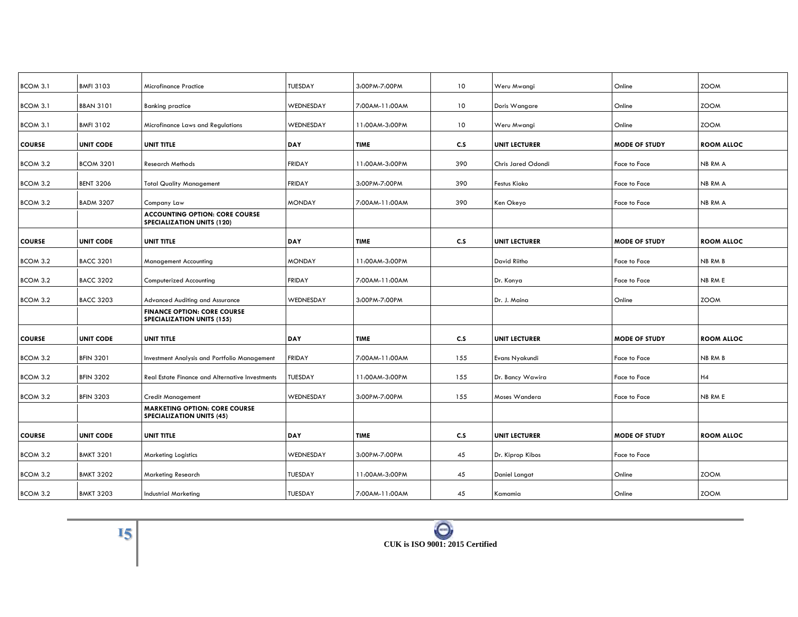| BCOM 3.1        | <b>BMFI 3103</b> | Microfinance Practice                                                      | TUESDAY        | 3:00PM-7:00PM  | 10  | Weru Mwangi          | Online               | <b>ZOOM</b>       |
|-----------------|------------------|----------------------------------------------------------------------------|----------------|----------------|-----|----------------------|----------------------|-------------------|
| BCOM 3.1        | <b>BBAN 3101</b> | <b>Banking practice</b>                                                    | WEDNESDAY      | 7:00AM-11:00AM | 10  | Doris Wangare        | Online               | <b>ZOOM</b>       |
| <b>BCOM 3.1</b> | <b>BMFI 3102</b> | Microfinance Laws and Regulations                                          | WEDNESDAY      | 11:00AM-3:00PM | 10  | Weru Mwangi          | Online               | <b>ZOOM</b>       |
| <b>COURSE</b>   | <b>UNIT CODE</b> | UNIT TITLE                                                                 | DAY            | <b>TIME</b>    | C.S | <b>UNIT LECTURER</b> | <b>MODE OF STUDY</b> | <b>ROOM ALLOC</b> |
| BCOM 3.2        | <b>BCOM 3201</b> | <b>Research Methods</b>                                                    | <b>FRIDAY</b>  | 11:00AM-3:00PM | 390 | Chris Jared Odondi   | Face to Face         | NB RM A           |
| BCOM 3.2        | <b>BENT 3206</b> | <b>Total Quality Management</b>                                            | <b>FRIDAY</b>  | 3:00PM-7:00PM  | 390 | Festus Kioko         | Face to Face         | NB RM A           |
| BCOM 3.2        | <b>BADM 3207</b> | Company Law                                                                | <b>MONDAY</b>  | 7:00AM-11:00AM | 390 | Ken Okeyo            | Face to Face         | NB RM A           |
|                 |                  | <b>ACCOUNTING OPTION: CORE COURSE</b><br><b>SPECIALIZATION UNITS (120)</b> |                |                |     |                      |                      |                   |
| <b>COURSE</b>   | <b>UNIT CODE</b> | UNIT TITLE                                                                 | DAY            | <b>TIME</b>    | C.S | <b>UNIT LECTURER</b> | <b>MODE OF STUDY</b> | <b>ROOM ALLOC</b> |
| BCOM 3.2        | <b>BACC 3201</b> | <b>Management Accounting</b>                                               | <b>MONDAY</b>  | 11:00AM-3:00PM |     | David Riitho         | Face to Face         | <b>NB RM B</b>    |
| BCOM 3.2        | <b>BACC 3202</b> | Computerized Accounting                                                    | <b>FRIDAY</b>  | 7:00AM-11:00AM |     | Dr. Konya            | Face to Face         | NB RM E           |
| BCOM 3.2        | <b>BACC 3203</b> | Advanced Auditing and Assurance                                            | WEDNESDAY      | 3:00PM-7:00PM  |     | Dr. J. Maina         | Online               | <b>ZOOM</b>       |
|                 |                  | <b>FINANCE OPTION: CORE COURSE</b><br><b>SPECIALIZATION UNITS (155)</b>    |                |                |     |                      |                      |                   |
| <b>COURSE</b>   | <b>UNIT CODE</b> | UNIT TITLE                                                                 | DAY            | <b>TIME</b>    | C.S | <b>UNIT LECTURER</b> | <b>MODE OF STUDY</b> | <b>ROOM ALLOC</b> |
| BCOM 3.2        | <b>BFIN 3201</b> | Investment Analysis and Portfolio Management                               | <b>FRIDAY</b>  | 7:00AM-11:00AM | 155 | Evans Nyakundi       | Face to Face         | NB RM B           |
| BCOM 3.2        | <b>BFIN 3202</b> | <b>Real Estate Finance and Alternative Investments</b>                     | TUESDAY        | 11:00AM-3:00PM | 155 | Dr. Bancy Wawira     | Face to Face         | H4                |
| BCOM 3.2        | <b>BFIN 3203</b> | <b>Credit Management</b>                                                   | WEDNESDAY      | 3:00PM-7:00PM  | 155 | Moses Wandera        | Face to Face         | NB RM E           |
|                 |                  | <b>MARKETING OPTION: CORE COURSE</b><br><b>SPECIALIZATION UNITS (45)</b>   |                |                |     |                      |                      |                   |
| <b>COURSE</b>   | <b>UNIT CODE</b> | UNIT TITLE                                                                 | DAY            | <b>TIME</b>    | c.s | <b>UNIT LECTURER</b> | <b>MODE OF STUDY</b> | <b>ROOM ALLOC</b> |
| BCOM 3.2        | <b>BMKT 3201</b> | <b>Marketing Logistics</b>                                                 | WEDNESDAY      | 3:00PM-7:00PM  | 45  | Dr. Kiprop Kibos     | Face to Face         |                   |
| BCOM 3.2        | <b>BMKT 3202</b> | Marketing Research                                                         | <b>TUESDAY</b> | 11:00AM-3:00PM | 45  | Daniel Langat        | Online               | <b>ZOOM</b>       |
| BCOM 3.2        | <b>BMKT 3203</b> | <b>Industrial Marketing</b>                                                | TUESDAY        | 7:00AM-11:00AM | 45  | Kamamia              | Online               | <b>ZOOM</b>       |
|                 |                  |                                                                            |                |                |     |                      |                      |                   |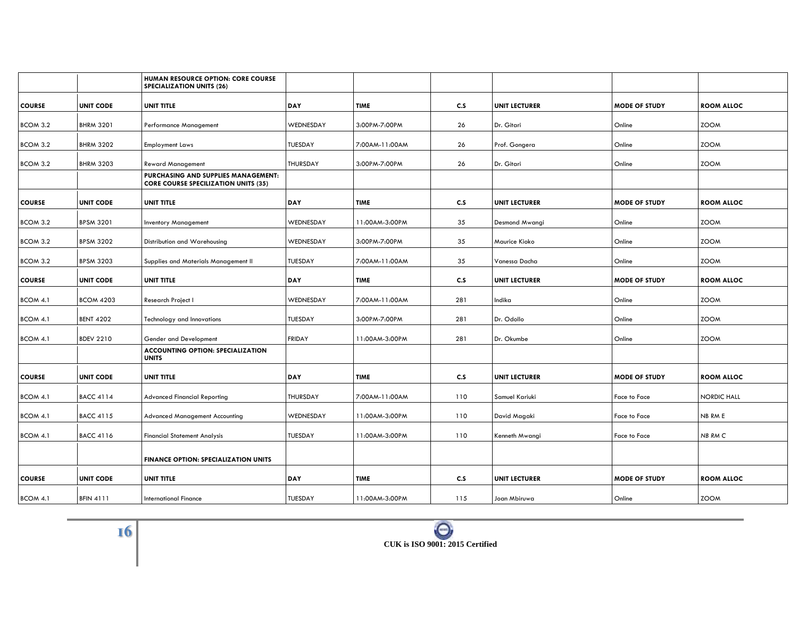|                 |                  | HUMAN RESOURCE OPTION: CORE COURSE<br><b>SPECIALIZATION UNITS (26)</b>             |                 |                |     |                      |                      |                    |
|-----------------|------------------|------------------------------------------------------------------------------------|-----------------|----------------|-----|----------------------|----------------------|--------------------|
| <b>COURSE</b>   | <b>UNIT CODE</b> | <b>UNIT TITLE</b>                                                                  | DAY             | <b>TIME</b>    | C.S | <b>UNIT LECTURER</b> | <b>MODE OF STUDY</b> | <b>ROOM ALLOC</b>  |
| BCOM 3.2        | <b>BHRM 3201</b> | <b>Performance Management</b>                                                      | WEDNESDAY       | 3:00PM-7:00PM  | 26  | Dr. Gitari           | Online               | <b>ZOOM</b>        |
| BCOM 3.2        | <b>BHRM 3202</b> | <b>Employment Laws</b>                                                             | TUESDAY         | 7:00AM-11:00AM | 26  | Prof. Gongera        | Online               | <b>ZOOM</b>        |
| BCOM 3.2        | <b>BHRM 3203</b> | <b>Reward Management</b>                                                           | <b>THURSDAY</b> | 3:00PM-7:00PM  | 26  | Dr. Gitari           | Online               | <b>ZOOM</b>        |
|                 |                  | PURCHASING AND SUPPLIES MANAGEMENT:<br><b>CORE COURSE SPECILIZATION UNITS (35)</b> |                 |                |     |                      |                      |                    |
| <b>COURSE</b>   | <b>UNIT CODE</b> | <b>UNIT TITLE</b>                                                                  | DAY             | <b>TIME</b>    | C.S | <b>UNIT LECTURER</b> | <b>MODE OF STUDY</b> | <b>ROOM ALLOC</b>  |
| BCOM 3.2        | <b>BPSM 3201</b> | <b>Inventory Management</b>                                                        | WEDNESDAY       | 11:00AM-3:00PM | 35  | Desmond Mwangi       | Online               | <b>ZOOM</b>        |
| <b>BCOM 3.2</b> | <b>BPSM 3202</b> | Distribution and Warehousing                                                       | WEDNESDAY       | 3:00PM-7:00PM  | 35  | Maurice Kioko        | Online               | <b>ZOOM</b>        |
| BCOM 3.2        | <b>BPSM 3203</b> | Supplies and Materials Management II                                               | TUESDAY         | 7:00AM-11:00AM | 35  | Vanessa Dacha        | Online               | <b>ZOOM</b>        |
| <b>COURSE</b>   | <b>UNIT CODE</b> | <b>UNIT TITLE</b>                                                                  | DAY             | <b>TIME</b>    | C.S | <b>UNIT LECTURER</b> | <b>MODE OF STUDY</b> | <b>ROOM ALLOC</b>  |
| BCOM 4.1        | <b>BCOM 4203</b> | Research Project I                                                                 | WEDNESDAY       | 7:00AM-11:00AM | 281 | Indika               | Online               | <b>ZOOM</b>        |
| BCOM 4.1        | <b>BENT 4202</b> | Technology and Innovations                                                         | <b>TUESDAY</b>  | 3:00PM-7:00PM  | 281 | Dr. Odollo           | Online               | <b>ZOOM</b>        |
| BCOM 4.1        | <b>BDEV 2210</b> | Gender and Development                                                             | <b>FRIDAY</b>   | 11:00AM-3:00PM | 281 | Dr. Okumbe           | Online               | <b>ZOOM</b>        |
|                 |                  | <b>ACCOUNTING OPTION: SPECIALIZATION</b><br><b>UNITS</b>                           |                 |                |     |                      |                      |                    |
| <b>COURSE</b>   | <b>UNIT CODE</b> | <b>UNIT TITLE</b>                                                                  | DAY             | <b>TIME</b>    | C.S | <b>UNIT LECTURER</b> | <b>MODE OF STUDY</b> | <b>ROOM ALLOC</b>  |
| <b>BCOM 4.1</b> | <b>BACC 4114</b> | <b>Advanced Financial Reporting</b>                                                | <b>THURSDAY</b> | 7:00AM-11:00AM | 110 | Samuel Kariuki       | Face to Face         | <b>NORDIC HALL</b> |
| BCOM 4.1        | <b>BACC 4115</b> | <b>Advanced Management Accounting</b>                                              | WEDNESDAY       | 11:00AM-3:00PM | 110 | David Magaki         | Face to Face         | NB RM E            |
| BCOM 4.1        | <b>BACC 4116</b> | <b>Financial Statement Analysis</b>                                                | TUESDAY         | 11:00AM-3:00PM | 110 | Kenneth Mwangi       | Face to Face         | NB RM C            |
|                 |                  | <b>FINANCE OPTION: SPECIALIZATION UNITS</b>                                        |                 |                |     |                      |                      |                    |
| <b>COURSE</b>   | <b>UNIT CODE</b> | <b>UNIT TITLE</b>                                                                  | DAY             | <b>TIME</b>    | C.S | <b>UNIT LECTURER</b> | <b>MODE OF STUDY</b> | <b>ROOM ALLOC</b>  |
| BCOM 4.1        | <b>BFIN 4111</b> | <b>International Finance</b>                                                       | TUESDAY         | 11:00AM-3:00PM | 115 | Joan Mbiruwa         | Online               | <b>ZOOM</b>        |

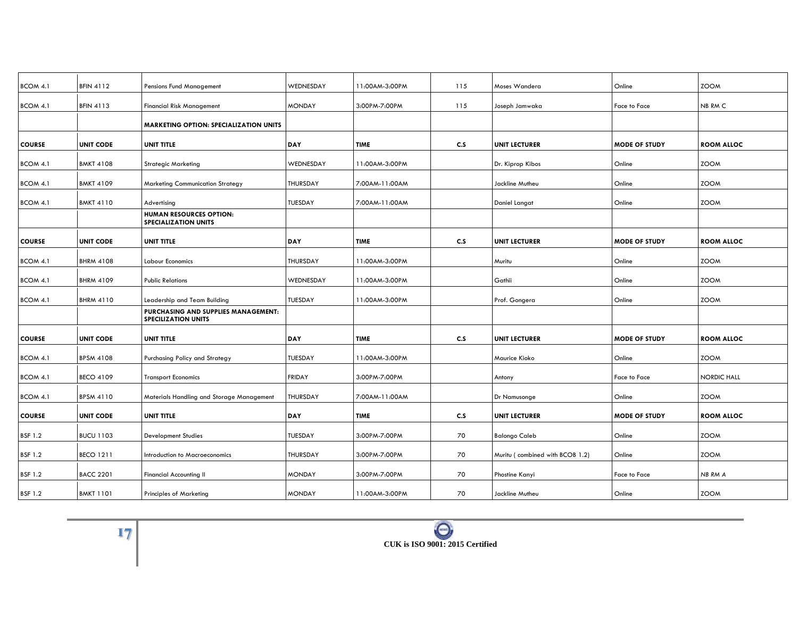| BCOM 4.1       | <b>BFIN 4112</b> | Pensions Fund Management                                          | WEDNESDAY       | 11:00AM-3:00PM | 115 | Moses Wandera                   | Online               | <b>ZOOM</b>        |
|----------------|------------------|-------------------------------------------------------------------|-----------------|----------------|-----|---------------------------------|----------------------|--------------------|
| BCOM 4.1       | <b>BFIN 4113</b> | <b>Financial Risk Management</b>                                  | <b>MONDAY</b>   | 3:00PM-7:00PM  | 115 | Joseph Jamwaka                  | Face to Face         | NB RM C            |
|                |                  | <b>MARKETING OPTION: SPECIALIZATION UNITS</b>                     |                 |                |     |                                 |                      |                    |
| <b>COURSE</b>  | <b>UNIT CODE</b> | <b>UNIT TITLE</b>                                                 | DAY             | <b>TIME</b>    | C.S | <b>UNIT LECTURER</b>            | <b>MODE OF STUDY</b> | <b>ROOM ALLOC</b>  |
| BCOM 4.1       | <b>BMKT 4108</b> | <b>Strategic Marketing</b>                                        | WEDNESDAY       | 11:00AM-3:00PM |     | Dr. Kiprop Kibos                | Online               | <b>ZOOM</b>        |
| BCOM 4.1       | <b>BMKT 4109</b> | <b>Marketing Communication Strategy</b>                           | <b>THURSDAY</b> | 7:00AM-11:00AM |     | Jackline Mutheu                 | Online               | <b>ZOOM</b>        |
| BCOM 4.1       | <b>BMKT 4110</b> | Advertising                                                       | TUESDAY         | 7:00AM-11:00AM |     | Daniel Langat                   | Online               | <b>ZOOM</b>        |
|                |                  | HUMAN RESOURCES OPTION:<br><b>SPECIALIZATION UNITS</b>            |                 |                |     |                                 |                      |                    |
| <b>COURSE</b>  | <b>UNIT CODE</b> | <b>UNIT TITLE</b>                                                 | DAY             | <b>TIME</b>    | C.S | <b>UNIT LECTURER</b>            | <b>MODE OF STUDY</b> | <b>ROOM ALLOC</b>  |
| BCOM 4.1       | <b>BHRM 4108</b> | <b>Labour Economics</b>                                           | THURSDAY        | 11:00AM-3:00PM |     | Muritu                          | Online               | <b>ZOOM</b>        |
| BCOM 4.1       | <b>BHRM 4109</b> | <b>Public Relations</b>                                           | WEDNESDAY       | 11:00AM-3:00PM |     | Gathii                          | Online               | <b>ZOOM</b>        |
| BCOM 4.1       | <b>BHRM 4110</b> | Leadership and Team Building                                      | TUESDAY         | 11:00AM-3:00PM |     | Prof. Gongera                   | Online               | <b>ZOOM</b>        |
|                |                  | PURCHASING AND SUPPLIES MANAGEMENT:<br><b>SPECILIZATION UNITS</b> |                 |                |     |                                 |                      |                    |
| <b>COURSE</b>  | <b>UNIT CODE</b> | UNIT TITLE                                                        | DAY             | <b>TIME</b>    | C.S | <b>UNIT LECTURER</b>            | <b>MODE OF STUDY</b> | <b>ROOM ALLOC</b>  |
| BCOM 4.1       | <b>BPSM 4108</b> | Purchasing Policy and Strategy                                    | TUESDAY         | 11:00AM-3:00PM |     | Maurice Kioko                   | Online               | <b>ZOOM</b>        |
| BCOM 4.1       | <b>BECO 4109</b> | <b>Transport Economics</b>                                        | <b>FRIDAY</b>   | 3:00PM-7:00PM  |     | Antony                          | Face to Face         | <b>NORDIC HALL</b> |
| BCOM 4.1       | <b>BPSM 4110</b> | Materials Handling and Storage Management                         | THURSDAY        | 7:00AM-11:00AM |     | Dr Namusonge                    | Online               | <b>ZOOM</b>        |
| <b>COURSE</b>  | <b>UNIT CODE</b> | <b>UNIT TITLE</b>                                                 | DAY             | <b>TIME</b>    | C.S | <b>UNIT LECTURER</b>            | <b>MODE OF STUDY</b> | <b>ROOM ALLOC</b>  |
| <b>BSF 1.2</b> | <b>BUCU 1103</b> | <b>Development Studies</b>                                        | TUESDAY         | 3:00PM-7:00PM  | 70  | <b>Balongo Caleb</b>            | Online               | <b>ZOOM</b>        |
| <b>BSF 1.2</b> | <b>BECO 1211</b> | Introduction to Macroeconomics                                    | THURSDAY        | 3:00PM-7:00PM  | 70  | Muritu (combined with BCOB 1.2) | Online               | <b>ZOOM</b>        |
| <b>BSF 1.2</b> | <b>BACC 2201</b> | Financial Accounting II                                           | <b>MONDAY</b>   | 3:00PM-7:00PM  | 70  | Phostine Kanyi                  | Face to Face         | NB RM A            |
| <b>BSF 1.2</b> | <b>BMKT 1101</b> | <b>Principles of Marketing</b>                                    | <b>MONDAY</b>   | 11:00AM-3:00PM | 70  | Jackline Mutheu                 | Online               | <b>ZOOM</b>        |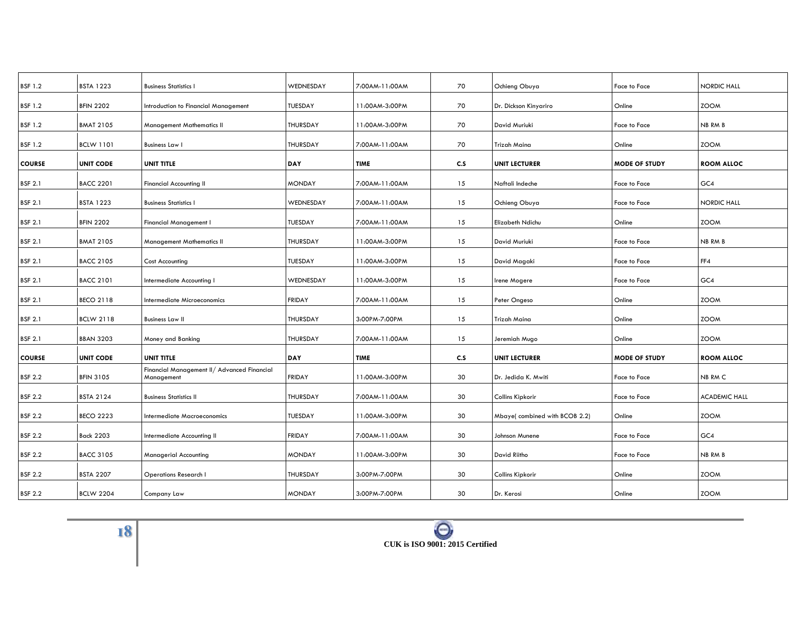| <b>BSTA 1223</b> | <b>Business Statistics I</b>                               | WEDNESDAY       | 7:00AM-11:00AM | 70  | Ochieng Obuya                 | Face to Face         | <b>NORDIC HALL</b>   |
|------------------|------------------------------------------------------------|-----------------|----------------|-----|-------------------------------|----------------------|----------------------|
| <b>BFIN 2202</b> | Introduction to Financial Management                       | <b>TUESDAY</b>  | 11:00AM-3:00PM | 70  | Dr. Dickson Kinyariro         | Online               | <b>ZOOM</b>          |
| <b>BMAT 2105</b> | <b>Management Mathematics II</b>                           | <b>THURSDAY</b> | 11:00AM-3:00PM | 70  | David Muriuki                 | Face to Face         | NB RM B              |
| <b>BCLW 1101</b> | <b>Business Law I</b>                                      | THURSDAY        | 7:00AM-11:00AM | 70  | Trizah Maina                  | Online               | <b>ZOOM</b>          |
| <b>UNIT CODE</b> | <b>UNIT TITLE</b>                                          | DAY             | <b>TIME</b>    | C.S | <b>UNIT LECTURER</b>          | <b>MODE OF STUDY</b> | <b>ROOM ALLOC</b>    |
| <b>BACC 2201</b> | <b>Financial Accounting II</b>                             | <b>MONDAY</b>   | 7:00AM-11:00AM | 15  | Naftali Indeche               | Face to Face         | GC4                  |
| <b>BSTA 1223</b> | <b>Business Statistics I</b>                               | WEDNESDAY       | 7:00AM-11:00AM | 15  | Ochieng Obuya                 | Face to Face         | <b>NORDIC HALL</b>   |
| <b>BFIN 2202</b> | Financial Management I                                     | <b>TUESDAY</b>  | 7:00AM-11:00AM | 15  | Elizabeth Ndichu              | Online               | <b>ZOOM</b>          |
| <b>BMAT 2105</b> | <b>Management Mathematics II</b>                           | <b>THURSDAY</b> | 11:00AM-3:00PM | 15  | David Muriuki                 | Face to Face         | NB RM B              |
| <b>BACC 2105</b> | Cost Accounting                                            | <b>TUESDAY</b>  | 11:00AM-3:00PM | 15  | David Magaki                  | Face to Face         | FF4                  |
| <b>BACC 2101</b> | Intermediate Accounting I                                  | WEDNESDAY       | 11:00AM-3:00PM | 15  | Irene Mogere                  | Face to Face         | GC4                  |
| <b>BECO 2118</b> | Intermediate Microeconomics                                | <b>FRIDAY</b>   | 7:00AM-11:00AM | 15  | Peter Ongeso                  | Online               | <b>ZOOM</b>          |
| <b>BCLW 2118</b> | <b>Business Law II</b>                                     | THURSDAY        | 3:00PM-7:00PM  | 15  | Trizah Maina                  | Online               | <b>ZOOM</b>          |
| <b>BBAN 3203</b> | Money and Banking                                          | THURSDAY        | 7:00AM-11:00AM | 15  | Jeremiah Mugo                 | Online               | <b>ZOOM</b>          |
| <b>UNIT CODE</b> | UNIT TITLE                                                 | DAY             | <b>TIME</b>    | C.S | <b>UNIT LECTURER</b>          | <b>MODE OF STUDY</b> | <b>ROOM ALLOC</b>    |
| <b>BFIN 3105</b> | Financial Management II / Advanced Financial<br>Management | FRIDAY          | 11:00AM-3:00PM | 30  | Dr. Jedida K. Mwiti           | Face to Face         | NB RM C              |
| <b>BSTA 2124</b> | <b>Business Statistics II</b>                              | THURSDAY        | 7:00AM-11:00AM | 30  | Collins Kipkorir              | Face to Face         | <b>ACADEMIC HALL</b> |
| <b>BECO 2223</b> | <b>Intermediate Macroeconomics</b>                         | <b>TUESDAY</b>  | 11:00AM-3:00PM | 30  | Mbaye(combined with BCOB 2.2) | Online               | <b>ZOOM</b>          |
| <b>Back 2203</b> | Intermediate Accounting II                                 | <b>FRIDAY</b>   | 7:00AM-11:00AM | 30  | Johnson Munene                | Face to Face         | GC4                  |
| <b>BACC 3105</b> | <b>Managerial Accounting</b>                               | <b>MONDAY</b>   | 11:00AM-3:00PM | 30  | David Riitho                  | Face to Face         | NB RM B              |
| <b>BSTA 2207</b> | <b>Operations Research I</b>                               | THURSDAY        | 3:00PM-7:00PM  | 30  | Collins Kipkorir              | Online               | <b>ZOOM</b>          |
| <b>BCLW 2204</b> | Company Law                                                | <b>MONDAY</b>   | 3:00PM-7:00PM  | 30  | Dr. Kerosi                    | Online               | <b>ZOOM</b>          |
|                  |                                                            |                 |                |     |                               |                      |                      |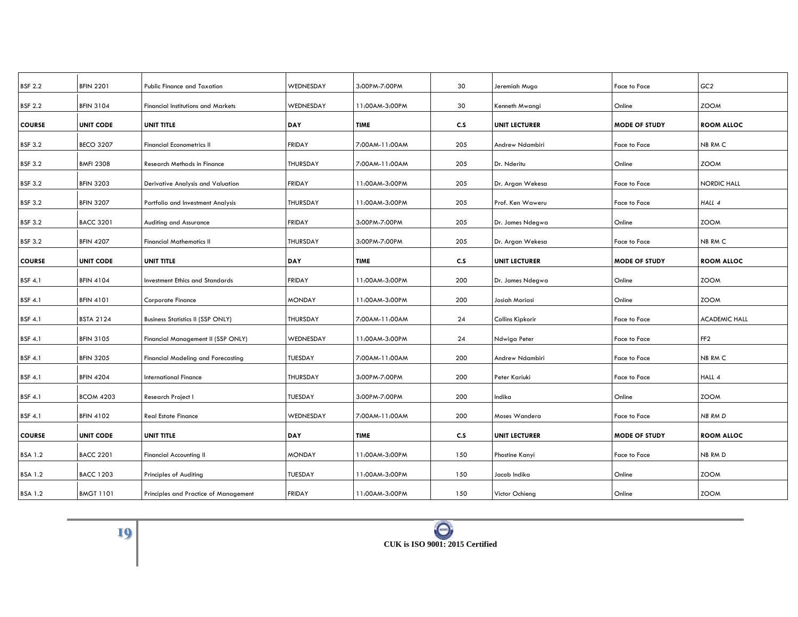| <b>BFIN 2201</b> | <b>Public Finance and Taxation</b>        | WEDNESDAY       | 3:00PM-7:00PM  | 30  | Jeremiah Mugo        | Face to Face         | GC2                  |
|------------------|-------------------------------------------|-----------------|----------------|-----|----------------------|----------------------|----------------------|
| <b>BFIN 3104</b> | <b>Financial Institutions and Markets</b> | WEDNESDAY       | 11:00AM-3:00PM | 30  | Kenneth Mwangi       | Online               | <b>ZOOM</b>          |
| <b>UNIT CODE</b> | UNIT TITLE                                | <b>DAY</b>      | <b>TIME</b>    | c.s | <b>UNIT LECTURER</b> | <b>MODE OF STUDY</b> | <b>ROOM ALLOC</b>    |
| <b>BECO 3207</b> | <b>Financial Econometrics II</b>          | <b>FRIDAY</b>   | 7:00AM-11:00AM | 205 | Andrew Ndambiri      | Face to Face         | NB RM C              |
| <b>BMFI 2308</b> | Research Methods in Finance               | <b>THURSDAY</b> | 7:00AM-11:00AM | 205 | Dr. Nderitu          | Online               | <b>ZOOM</b>          |
| <b>BFIN 3203</b> | Derivative Analysis and Valuation         | FRIDAY          | 11:00AM-3:00PM | 205 | Dr. Argan Wekesa     | Face to Face         | <b>NORDIC HALL</b>   |
| <b>BFIN 3207</b> | Portfolio and Investment Analysis         | THURSDAY        | 11:00AM-3:00PM | 205 | Prof. Ken Waweru     | Face to Face         | HALL 4               |
| <b>BACC 3201</b> | Auditing and Assurance                    | <b>FRIDAY</b>   | 3:00PM-7:00PM  | 205 | Dr. James Ndegwa     | Online               | <b>ZOOM</b>          |
| <b>BFIN 4207</b> | <b>Financial Mathematics II</b>           | <b>THURSDAY</b> | 3:00PM-7:00PM  | 205 | Dr. Argan Wekesa     | Face to Face         | NB RM C              |
| <b>UNIT CODE</b> | <b>UNIT TITLE</b>                         | <b>DAY</b>      | <b>TIME</b>    | c.s | <b>UNIT LECTURER</b> | <b>MODE OF STUDY</b> | <b>ROOM ALLOC</b>    |
| <b>BFIN 4104</b> | <b>Investment Ethics and Standards</b>    | <b>FRIDAY</b>   | 11:00AM-3:00PM | 200 | Dr. James Ndegwa     | Online               | <b>ZOOM</b>          |
| <b>BFIN 4101</b> | Corporate Finance                         | <b>MONDAY</b>   | 11:00AM-3:00PM | 200 | Josiah Moriasi       | Online               | <b>ZOOM</b>          |
| <b>BSTA 2124</b> | <b>Business Statistics II (SSP ONLY)</b>  | THURSDAY        | 7:00AM-11:00AM | 24  | Collins Kipkorir     | Face to Face         | <b>ACADEMIC HALL</b> |
| <b>BFIN 3105</b> | Financial Management II (SSP ONLY)        | WEDNESDAY       | 11:00AM-3:00PM | 24  | Ndwiga Peter         | Face to Face         | FF <sub>2</sub>      |
| <b>BFIN 3205</b> | Financial Modeling and Forecasting        | <b>TUESDAY</b>  | 7:00AM-11:00AM | 200 | Andrew Ndambiri      | Face to Face         | NB RM C              |
| <b>BFIN 4204</b> | <b>International Finance</b>              | THURSDAY        | 3:00PM-7:00PM  | 200 | Peter Kariuki        | Face to Face         | HALL 4               |
| <b>BCOM 4203</b> | Research Project I                        | <b>TUESDAY</b>  | 3:00PM-7:00PM  | 200 | Indika               | Online               | <b>ZOOM</b>          |
| <b>BFIN 4102</b> | <b>Real Estate Finance</b>                | WEDNESDAY       | 7:00AM-11:00AM | 200 | Moses Wandera        | Face to Face         | <b>NB RMD</b>        |
| <b>UNIT CODE</b> | UNIT TITLE                                | <b>DAY</b>      | TIME           | C.S | <b>UNIT LECTURER</b> | <b>MODE OF STUDY</b> | <b>ROOM ALLOC</b>    |
| <b>BACC 2201</b> | <b>Financial Accounting II</b>            | <b>MONDAY</b>   | 11:00AM-3:00PM | 150 | Phostine Kanyi       | Face to Face         | NB RM D              |
| <b>BACC 1203</b> | Principles of Auditing                    | <b>TUESDAY</b>  | 11:00AM-3:00PM | 150 | Jacob Indika         | Online               | <b>ZOOM</b>          |
| <b>BMGT 1101</b> | Principles and Practice of Management     | <b>FRIDAY</b>   | 11:00AM-3:00PM | 150 | Victor Ochieng       | Online               | <b>ZOOM</b>          |
|                  |                                           |                 |                |     |                      |                      |                      |

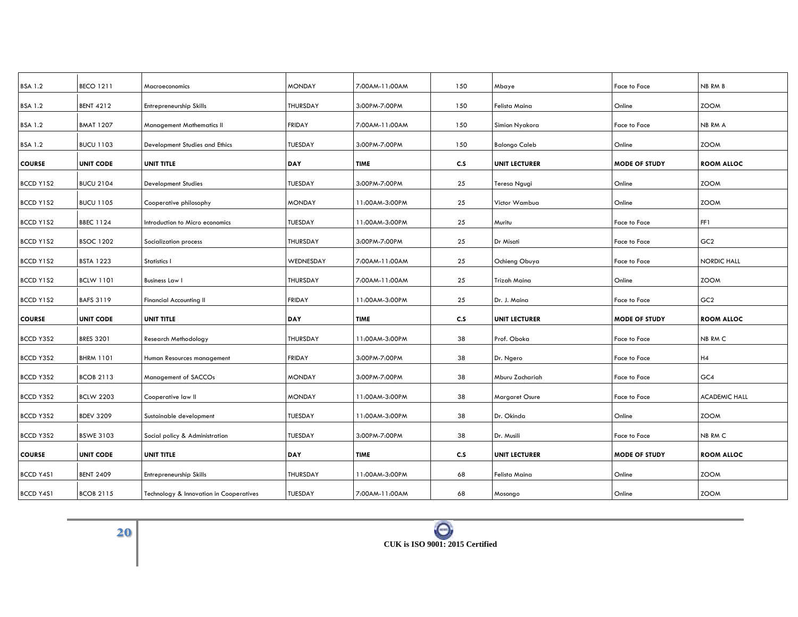| <b>BSA 1.2</b>   | <b>BECO 1211</b> | Macroeconomics                          | <b>MONDAY</b>   | 7:00AM-11:00AM | 150 | Mbaye                | Face to Face         | NB RM B              |
|------------------|------------------|-----------------------------------------|-----------------|----------------|-----|----------------------|----------------------|----------------------|
| <b>BSA 1.2</b>   | <b>BENT 4212</b> | Entrepreneurship Skills                 | <b>THURSDAY</b> | 3:00PM-7:00PM  | 150 | Felista Maina        | Online               | <b>ZOOM</b>          |
| <b>BSA 1.2</b>   | <b>BMAT 1207</b> | <b>Management Mathematics II</b>        | <b>FRIDAY</b>   | 7:00AM-11:00AM | 150 | Simion Nyakora       | Face to Face         | NB RM A              |
| <b>BSA 1.2</b>   | <b>BUCU 1103</b> | Development Studies and Ethics          | TUESDAY         | 3:00PM-7:00PM  | 150 | <b>Balongo Caleb</b> | Online               | <b>ZOOM</b>          |
| <b>COURSE</b>    | <b>UNIT CODE</b> | <b>UNIT TITLE</b>                       | DAY             | <b>TIME</b>    | C.S | <b>UNIT LECTURER</b> | <b>MODE OF STUDY</b> | <b>ROOM ALLOC</b>    |
| BCCD Y1S2        | <b>BUCU 2104</b> | <b>Development Studies</b>              | <b>TUESDAY</b>  | 3:00PM-7:00PM  | 25  | Teresa Ngugi         | Online               | <b>ZOOM</b>          |
| BCCD Y1S2        | <b>BUCU 1105</b> | Cooperative philosophy                  | <b>MONDAY</b>   | 11:00AM-3:00PM | 25  | Victor Wambua        | Online               | <b>ZOOM</b>          |
| BCCD Y1S2        | <b>BBEC 1124</b> | Introduction to Micro economics         | <b>TUESDAY</b>  | 11:00AM-3:00PM | 25  | Muritu               | Face to Face         | FF1                  |
| BCCD Y1S2        | <b>BSOC 1202</b> | Socialization process                   | THURSDAY        | 3:00PM-7:00PM  | 25  | Dr Misati            | <b>Face to Face</b>  | GC <sub>2</sub>      |
| BCCD Y1S2        | <b>BSTA 1223</b> | Statistics I                            | WEDNESDAY       | 7:00AM-11:00AM | 25  | Ochieng Obuya        | Face to Face         | <b>NORDIC HALL</b>   |
| BCCD Y1S2        | <b>BCLW 1101</b> | <b>Business Law I</b>                   | <b>THURSDAY</b> | 7:00AM-11:00AM | 25  | Trizah Maina         | Online               | <b>ZOOM</b>          |
| BCCD Y1S2        | <b>BAFS 3119</b> | <b>Financial Accounting II</b>          | <b>FRIDAY</b>   | 11:00AM-3:00PM | 25  | Dr. J. Maina         | <b>Face to Face</b>  | GC <sub>2</sub>      |
| <b>COURSE</b>    | <b>UNIT CODE</b> | UNIT TITLE                              | DAY             | TIME           | c.s | <b>UNIT LECTURER</b> | <b>MODE OF STUDY</b> | <b>ROOM ALLOC</b>    |
| BCCD Y3S2        | <b>BRES 3201</b> | Research Methodology                    | <b>THURSDAY</b> | 11:00AM-3:00PM | 38  | Prof. Oboka          | Face to Face         | NB RM C              |
| BCCD Y3S2        | <b>BHRM 1101</b> | Human Resources management              | <b>FRIDAY</b>   | 3:00PM-7:00PM  | 38  | Dr. Ngero            | Face to Face         | H4                   |
| BCCD Y3S2        | <b>BCOB 2113</b> | Management of SACCOs                    | <b>MONDAY</b>   | 3:00PM-7:00PM  | 38  | Mburu Zachariah      | Face to Face         | GC4                  |
| BCCD Y3S2        | <b>BCLW 2203</b> | Cooperative law II                      | <b>MONDAY</b>   | 11:00AM-3:00PM | 38  | Margaret Osure       | Face to Face         | <b>ACADEMIC HALL</b> |
| BCCD Y3S2        | <b>BDEV 3209</b> | Sustainable development                 | <b>TUESDAY</b>  | 11:00AM-3:00PM | 38  | Dr. Okinda           | Online               | <b>ZOOM</b>          |
| BCCD Y3S2        | <b>BSWE 3103</b> | Social policy & Administration          | <b>TUESDAY</b>  | 3:00PM-7:00PM  | 38  | Dr. Musili           | Face to Face         | NB RM C              |
| <b>COURSE</b>    | <b>UNIT CODE</b> | <b>UNIT TITLE</b>                       | DAY             | <b>TIME</b>    | C.S | <b>UNIT LECTURER</b> | <b>MODE OF STUDY</b> | <b>ROOM ALLOC</b>    |
| <b>BCCD Y4S1</b> | <b>BENT 2409</b> | Entrepreneurship Skills                 | <b>THURSDAY</b> | 11:00AM-3:00PM | 68  | Felista Maina        | Online               | <b>ZOOM</b>          |
| BCCD Y4S1        | <b>BCOB 2115</b> |                                         | TUESDAY         | 7:00AM-11:00AM | 68  |                      | Online               | <b>ZOOM</b>          |
|                  |                  | Technology & Innovation in Cooperatives |                 |                |     | Mosongo              |                      |                      |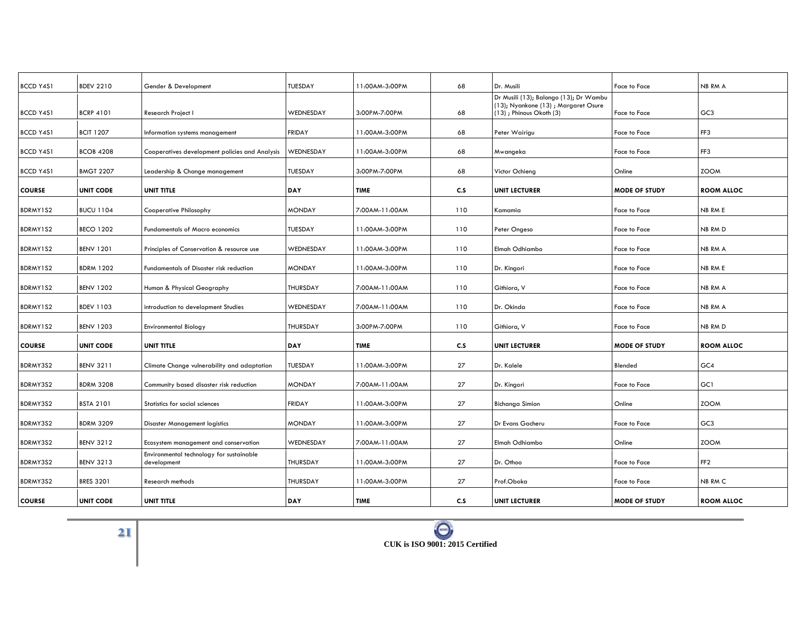| <b>BCCD Y4S1</b> | <b>BDEV 2210</b> | Gender & Development                                    | <b>TUESDAY</b> | 11:00AM-3:00PM | 68  | Dr. Musili                                                                                               | <b>Face to Face</b>  | NB RM A           |
|------------------|------------------|---------------------------------------------------------|----------------|----------------|-----|----------------------------------------------------------------------------------------------------------|----------------------|-------------------|
| <b>BCCD Y4S1</b> | <b>BCRP 4101</b> | Research Project I                                      | WEDNESDAY      | 3:00PM-7:00PM  | 68  | Dr Musili (13); Balongo (13); Dr Wambu<br>(13); Nyankone (13); Margaret Osure<br>(13); Phinous Okoth (3) | Face to Face         | GC <sub>3</sub>   |
| <b>BCCD Y4S1</b> | <b>BCIT 1207</b> | Information systems management                          | <b>FRIDAY</b>  | 11:00AM-3:00PM | 68  | Peter Wairigu                                                                                            | <b>Face to Face</b>  | FF3               |
| <b>BCCD Y4S1</b> | <b>BCOB 4208</b> | Cooperatives development policies and Analysis          | WEDNESDAY      | 11:00AM-3:00PM | 68  | Mwangeka                                                                                                 | Face to Face         | FF3               |
| BCCD Y4S1        | <b>BMGT 2207</b> | Leadership & Change management                          | <b>TUESDAY</b> | 3:00PM-7:00PM  | 68  | Victor Ochieng                                                                                           | Online               | <b>ZOOM</b>       |
| <b>COURSE</b>    | <b>UNIT CODE</b> | UNIT TITLE                                              | DAY            | <b>TIME</b>    | C.S | <b>UNIT LECTURER</b>                                                                                     | <b>MODE OF STUDY</b> | <b>ROOM ALLOC</b> |
| BDRMY1S2         | <b>BUCU 1104</b> | Cooperative Philosophy                                  | <b>MONDAY</b>  | 7:00AM-11:00AM | 110 | Kamamia                                                                                                  | <b>Face to Face</b>  | NB RM E           |
| BDRMY1S2         | <b>BECO 1202</b> | <b>Fundamentals of Macro economics</b>                  | <b>TUESDAY</b> | 11:00AM-3:00PM | 110 | Peter Ongeso                                                                                             | Face to Face         | NB RM D           |
| BDRMY1S2         | <b>BENV 1201</b> | Principles of Conservation & resource use               | WEDNESDAY      | 11:00AM-3:00PM | 110 | Elmah Odhiambo                                                                                           | Face to Face         | NB RM A           |
| BDRMY1S2         | <b>BDRM 1202</b> | Fundamentals of Disaster risk reduction                 | <b>MONDAY</b>  | 11:00AM-3:00PM | 110 | Dr. Kingori                                                                                              | Face to Face         | NB RM E           |
| BDRMY1S2         | <b>BENV 1202</b> | Human & Physical Geography                              | THURSDAY       | 7:00AM-11:00AM | 110 | Githiora, V                                                                                              | <b>Face to Face</b>  | NB RM A           |
| BDRMY1S2         | <b>BDEV 1103</b> | introduction to development Studies                     | WEDNESDAY      | 7:00AM-11:00AM | 110 | Dr. Okinda                                                                                               | Face to Face         | NB RM A           |
| BDRMY1S2         | <b>BENV 1203</b> | <b>Environmental Biology</b>                            | THURSDAY       | 3:00PM-7:00PM  | 110 | Githiora, V                                                                                              | Face to Face         | NB RM D           |
| <b>COURSE</b>    | <b>UNIT CODE</b> | UNIT TITLE                                              | <b>DAY</b>     | <b>TIME</b>    | c.s | <b>UNIT LECTURER</b>                                                                                     | <b>MODE OF STUDY</b> | <b>ROOM ALLOC</b> |
| BDRMY3S2         | <b>BENV 3211</b> | Climate Change vulnerability and adaptation             | TUESDAY        | 11:00AM-3:00PM | 27  | Dr. Kalele                                                                                               | Blended              | GC4               |
| BDRMY3S2         | <b>BDRM 3208</b> | Community based disaster risk reduction                 | <b>MONDAY</b>  | 7:00AM-11:00AM | 27  | Dr. Kingori                                                                                              | Face to Face         | GC1               |
| BDRMY3S2         | <b>BSTA 2101</b> | Statistics for social sciences                          | <b>FRIDAY</b>  | 11:00AM-3:00PM | 27  | <b>Bichanga Simion</b>                                                                                   | Online               | <b>ZOOM</b>       |
| BDRMY3S2         | <b>BDRM 3209</b> | <b>Disaster Management logistics</b>                    | <b>MONDAY</b>  | 11:00AM-3:00PM | 27  | Dr Evans Gacheru                                                                                         | Face to Face         | GC <sub>3</sub>   |
| BDRMY3S2         | <b>BENV 3212</b> | Ecosystem management and conservation                   | WEDNESDAY      | 7:00AM-11:00AM | 27  | Elmah Odhiambo                                                                                           | Online               | <b>ZOOM</b>       |
| BDRMY3S2         | <b>BENV 3213</b> | Environmental technology for sustainable<br>development | THURSDAY       | 11:00AM-3:00PM | 27  | Dr. Othoo                                                                                                | Face to Face         | FF <sub>2</sub>   |
| BDRMY3S2         | <b>BRES 3201</b> | Research methods                                        | THURSDAY       | 11:00AM-3:00PM | 27  | Prof.Oboka                                                                                               | <b>Face to Face</b>  | NB RM C           |
| <b>COURSE</b>    | <b>UNIT CODE</b> | UNIT TITLE                                              | DAY            | <b>TIME</b>    | c.s | <b>UNIT LECTURER</b>                                                                                     | <b>MODE OF STUDY</b> | <b>ROOM ALLOC</b> |

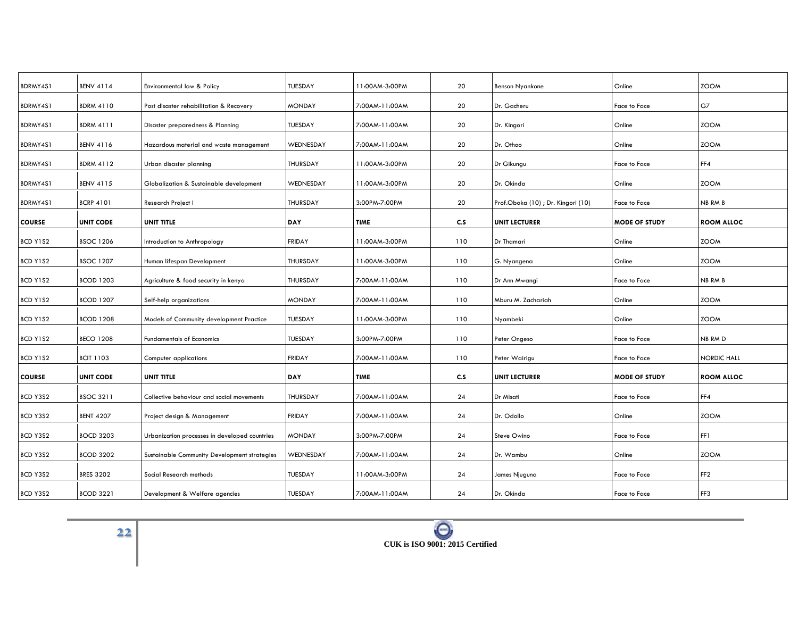| BDRMY4S1      | <b>BENV 4114</b> | Environmental law & Policy                    | <b>TUESDAY</b>  | 11:00AM-3:00PM | 20  | Benson Nyankone                   | Online               | <b>ZOOM</b>        |
|---------------|------------------|-----------------------------------------------|-----------------|----------------|-----|-----------------------------------|----------------------|--------------------|
| BDRMY4S1      | <b>BDRM 4110</b> | Post disaster rehabilitation & Recovery       | <b>MONDAY</b>   | 7:00AM-11:00AM | 20  | Dr. Gacheru                       | <b>Face to Face</b>  | G7                 |
| BDRMY4S1      | <b>BDRM 4111</b> | Disaster preparedness & Planning              | <b>TUESDAY</b>  | 7:00AM-11:00AM | 20  | Dr. Kingori                       | Online               | <b>ZOOM</b>        |
| BDRMY4S1      | <b>BENV 4116</b> | Hazardous material and waste management       | WEDNESDAY       | 7:00AM-11:00AM | 20  | Dr. Othoo                         | Online               | <b>ZOOM</b>        |
| BDRMY4S1      | <b>BDRM 4112</b> | Urban disaster planning                       | THURSDAY        | 11:00AM-3:00PM | 20  | Dr Gikungu                        | <b>Face to Face</b>  | FF4                |
| BDRMY4S1      | <b>BENV 4115</b> | Globalization & Sustainable development       | WEDNESDAY       | 11:00AM-3:00PM | 20  | Dr. Okinda                        | Online               | <b>ZOOM</b>        |
| BDRMY4S1      | <b>BCRP 4101</b> | Research Project I                            | THURSDAY        | 3:00PM-7:00PM  | 20  | Prof.Oboka (10); Dr. Kingori (10) | <b>Face to Face</b>  | NB RM B            |
| <b>COURSE</b> | <b>UNIT CODE</b> | UNIT TITLE                                    | <b>DAY</b>      | <b>TIME</b>    | C.S | <b>UNIT LECTURER</b>              | <b>MODE OF STUDY</b> | <b>ROOM ALLOC</b>  |
| BCD Y1S2      | <b>BSOC 1206</b> | Introduction to Anthropology                  | <b>FRIDAY</b>   | 11:00AM-3:00PM | 110 | Dr Thamari                        | Online               | <b>ZOOM</b>        |
| BCD Y1S2      | <b>BSOC 1207</b> | Human lifespan Development                    | THURSDAY        | 11:00AM-3:00PM | 110 | G. Nyangena                       | Online               | <b>ZOOM</b>        |
| BCD Y1S2      | <b>BCOD 1203</b> | Agriculture & food security in kenya          | <b>THURSDAY</b> | 7:00AM-11:00AM | 110 | Dr Ann Mwangi                     | Face to Face         | NB RM B            |
| BCD Y1S2      | <b>BCOD 1207</b> | Self-help organizations                       | <b>MONDAY</b>   | 7:00AM-11:00AM | 110 | Mburu M. Zachariah                | Online               | <b>ZOOM</b>        |
| BCD Y1S2      | <b>BCOD 1208</b> | Models of Community development Practice      | TUESDAY         | 11:00AM-3:00PM | 110 | Nyambeki                          | Online               | <b>ZOOM</b>        |
| BCD Y1S2      | <b>BECO 1208</b> | <b>Fundamentals of Economics</b>              | <b>TUESDAY</b>  | 3:00PM-7:00PM  | 110 | Peter Ongeso                      | <b>Face to Face</b>  | NB RM D            |
| BCD Y1S2      | <b>BCIT 1103</b> | Computer applications                         | <b>FRIDAY</b>   | 7:00AM-11:00AM | 110 | Peter Wairigu                     | Face to Face         | <b>NORDIC HALL</b> |
| <b>COURSE</b> | <b>UNIT CODE</b> | UNIT TITLE                                    | DAY             | <b>TIME</b>    | c.s | <b>UNIT LECTURER</b>              | <b>MODE OF STUDY</b> | <b>ROOM ALLOC</b>  |
|               |                  |                                               |                 |                |     |                                   |                      |                    |
| BCD Y3S2      | <b>BSOC 3211</b> | Collective behaviour and social movements     | THURSDAY        | 7:00AM-11:00AM | 24  | Dr Misati                         | Face to Face         | FF4                |
| BCD Y3S2      | <b>BENT 4207</b> | Project design & Management                   | <b>FRIDAY</b>   | 7:00AM-11:00AM | 24  | Dr. Odollo                        | Online               | <b>ZOOM</b>        |
| BCD Y3S2      | <b>BOCD 3203</b> | Urbanization processes in developed countries | <b>MONDAY</b>   | 3:00PM-7:00PM  | 24  | Steve Owino                       | <b>Face to Face</b>  | FF1                |
| BCD Y3S2      | <b>BCOD 3202</b> | Sustainable Community Development strategies  | WEDNESDAY       | 7:00AM-11:00AM | 24  | Dr. Wambu                         | Online               | <b>ZOOM</b>        |
| BCD Y3S2      | <b>BRES 3202</b> | Social Research methods                       | <b>TUESDAY</b>  | 11:00AM-3:00PM | 24  | James Njuguna                     | Face to Face         | FF <sub>2</sub>    |
| BCD Y3S2      | <b>BCOD 3221</b> | Development & Welfare agencies                | <b>TUESDAY</b>  | 7:00AM-11:00AM | 24  | Dr. Okinda                        | Face to Face         | FF3                |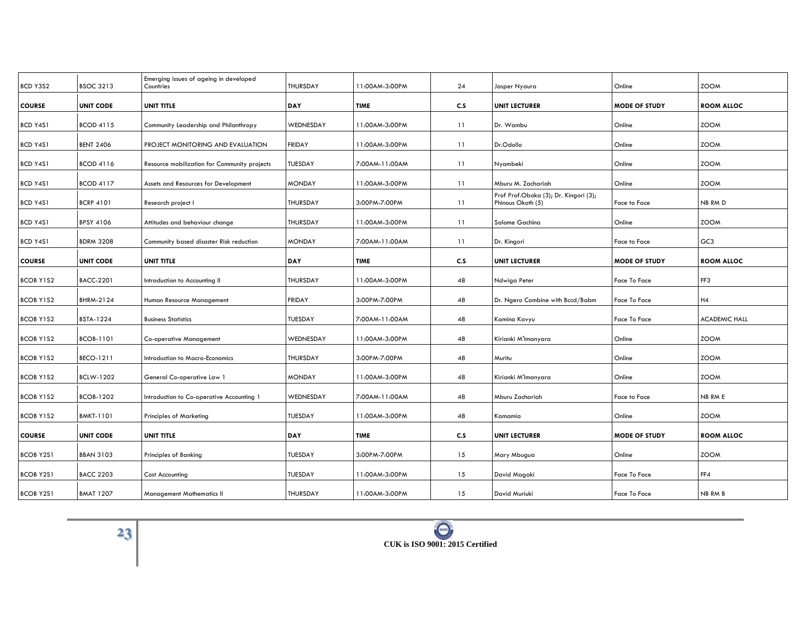| BCD Y3S2         | <b>BSOC 3213</b> | Emerging issues of ageing in developed<br>Countries | THURSDAY        | 11:00AM-3:00PM | 24  | Jasper Nyaura                                              | Online               | <b>ZOOM</b>          |
|------------------|------------------|-----------------------------------------------------|-----------------|----------------|-----|------------------------------------------------------------|----------------------|----------------------|
| <b>COURSE</b>    | <b>UNIT CODE</b> | <b>UNIT TITLE</b>                                   | <b>DAY</b>      | <b>TIME</b>    | C.S | <b>UNIT LECTURER</b>                                       | <b>MODE OF STUDY</b> | <b>ROOM ALLOC</b>    |
| BCD Y4S1         | <b>BCOD 4115</b> | Community Leadership and Philanthropy               | WEDNESDAY       | 11:00AM-3:00PM | 11  | Dr. Wambu                                                  | Online               | <b>ZOOM</b>          |
| BCD Y4S1         | <b>BENT 2406</b> | PROJECT MONITORING AND EVALUATION                   | <b>FRIDAY</b>   | 11:00AM-3:00PM | 11  | Dr.Odollo                                                  | Online               | <b>ZOOM</b>          |
| BCD Y4S1         | <b>BCOD 4116</b> | Resource mobilization for Community projects        | TUESDAY         | 7:00AM-11:00AM | 11  | Nyambeki                                                   | Online               | <b>ZOOM</b>          |
| BCD Y4S1         | <b>BCOD 4117</b> | Assets and Resources for Development                | <b>MONDAY</b>   | 11:00AM-3:00PM | 11  | Mburu M. Zachariah                                         | Online               | <b>ZOOM</b>          |
| BCD Y4S1         | <b>BCRP 4101</b> | Research project I                                  | <b>THURSDAY</b> | 3:00PM-7:00PM  | 11  | Prof Prof.Oboka (3); Dr. Kingori (3);<br>Phinous Okoth (5) | Face to Face         | NB RM D              |
| BCD Y4S1         | <b>BPSY 4106</b> | Attitudes and behaviour change                      | THURSDAY        | 11:00AM-3:00PM | 11  | Salome Gachina                                             | Online               | <b>ZOOM</b>          |
| <b>BCD Y4S1</b>  | <b>BDRM 3208</b> | Community based disaster Risk reduction             | <b>MONDAY</b>   | 7:00AM-11:00AM | 11  | Dr. Kingori                                                | Face to Face         | GC <sub>3</sub>      |
| <b>COURSE</b>    | <b>UNIT CODE</b> | UNIT TITLE                                          | <b>DAY</b>      | TIME           | C.S | <b>UNIT LECTURER</b>                                       | <b>MODE OF STUDY</b> | <b>ROOM ALLOC</b>    |
| <b>BCOB Y1S2</b> | <b>BACC-2201</b> | Introduction to Accounting II                       | <b>THURSDAY</b> | 11:00AM-3:00PM | 48  | Ndwiga Peter                                               | Face To Face         | FF3                  |
| <b>BCOB Y1S2</b> | BHRM-2124        | Human Resource Management                           | <b>FRIDAY</b>   | 3:00PM-7:00PM  | 48  | Dr. Ngero Combine with Bccd/Babm                           | Face To Face         | H4                   |
| <b>BCOB Y1S2</b> | <b>BSTA-1224</b> | <b>Business Statistics</b>                          | TUESDAY         | 7:00AM-11:00AM | 48  | Kamina Kavyu                                               | Face To Face         | <b>ACADEMIC HALL</b> |
| <b>BCOB Y1S2</b> | <b>BCOB-1101</b> | Co-operative Management                             | WEDNESDAY       | 11:00AM-3:00PM | 48  | Kirianki M'Imanyara                                        | Online               | <b>ZOOM</b>          |
| <b>BCOB Y1S2</b> | BECO-1211        | Introduction to Macro-Economics                     | THURSDAY        | 3:00PM-7:00PM  | 48  | Muritu                                                     | Online               | <b>ZOOM</b>          |
| <b>BCOB Y1S2</b> | <b>BCLW-1202</b> | General Co-operative Law 1                          | <b>MONDAY</b>   | 11:00AM-3:00PM | 48  | Kirianki M'Imanyara                                        | Online               | <b>ZOOM</b>          |
| <b>BCOB Y1S2</b> | <b>BCOB-1202</b> | Introduction to Co-operative Accounting 1           | WEDNESDAY       | 7:00AM-11:00AM | 48  | Mburu Zachariah                                            | Face to Face         | NB RM E              |
| <b>BCOB Y1S2</b> | <b>BMKT-1101</b> | <b>Principles of Marketing</b>                      | TUESDAY         | 11:00AM-3:00PM | 48  | Kamamia                                                    | Online               | <b>ZOOM</b>          |
| <b>COURSE</b>    | <b>UNIT CODE</b> | UNIT TITLE                                          | DAY             | <b>TIME</b>    | C.S | <b>UNIT LECTURER</b>                                       | <b>MODE OF STUDY</b> | <b>ROOM ALLOC</b>    |
| <b>BCOB Y2S1</b> | <b>BBAN 3103</b> | Principles of Banking                               | TUESDAY         | 3:00PM-7:00PM  | 15  | Mary Mbugua                                                | Online               | <b>ZOOM</b>          |
| <b>BCOB Y2S1</b> | <b>BACC 2203</b> | Cost Accounting                                     | TUESDAY         | 11:00AM-3:00PM | 15  | David Magaki                                               | Face To Face         | FF4                  |
| <b>BCOB Y2S1</b> | <b>BMAT 1207</b> | <b>Management Mathematics II</b>                    | THURSDAY        | 11:00AM-3:00PM | 15  | David Muriuki                                              | Face To Face         | NB RM B              |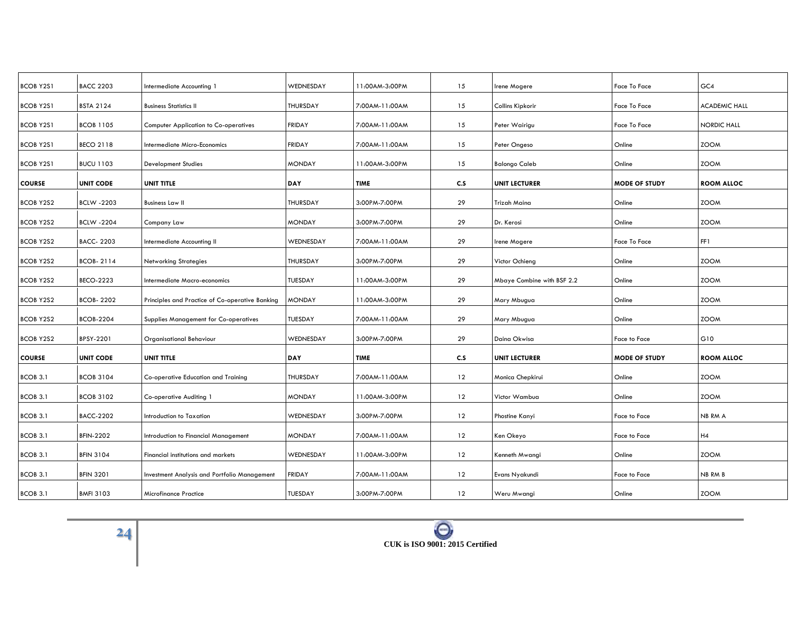| <b>BCOB Y2S1</b> | <b>BACC 2203</b>  | Intermediate Accounting 1                       | WEDNESDAY       | 11:00AM-3:00PM | 15  | Irene Mogere               | Face To Face         | GC4                  |
|------------------|-------------------|-------------------------------------------------|-----------------|----------------|-----|----------------------------|----------------------|----------------------|
| <b>BCOB Y2S1</b> | <b>BSTA 2124</b>  | <b>Business Statistics II</b>                   | <b>THURSDAY</b> | 7:00AM-11:00AM | 15  | Collins Kipkorir           | <b>Face To Face</b>  | <b>ACADEMIC HALL</b> |
| <b>BCOB Y2S1</b> | <b>BCOB 1105</b>  | <b>Computer Application to Co-operatives</b>    | <b>FRIDAY</b>   | 7:00AM-11:00AM | 15  | Peter Wairigu              | Face To Face         | <b>NORDIC HALL</b>   |
| <b>BCOB Y2S1</b> | <b>BECO 2118</b>  | Intermediate Micro-Economics                    | <b>FRIDAY</b>   | 7:00AM-11:00AM | 15  | Peter Ongeso               | Online               | <b>ZOOM</b>          |
| <b>BCOB Y2S1</b> | <b>BUCU 1103</b>  | <b>Development Studies</b>                      | <b>MONDAY</b>   | 11:00AM-3:00PM | 15  | <b>Balongo Caleb</b>       | Online               | <b>ZOOM</b>          |
| <b>COURSE</b>    | <b>UNIT CODE</b>  | UNIT TITLE                                      | DAY             | <b>TIME</b>    | C.S | <b>UNIT LECTURER</b>       | <b>MODE OF STUDY</b> | <b>ROOM ALLOC</b>    |
| <b>BCOB Y2S2</b> | <b>BCLW -2203</b> | <b>Business Law II</b>                          | <b>THURSDAY</b> | 3:00PM-7:00PM  | 29  | Trizah Maina               | Online               | <b>ZOOM</b>          |
| <b>BCOB Y2S2</b> | <b>BCLW -2204</b> | Company Law                                     | <b>MONDAY</b>   | 3:00PM-7:00PM  | 29  | Dr. Kerosi                 | Online               | <b>ZOOM</b>          |
| <b>BCOB Y2S2</b> | <b>BACC-2203</b>  | Intermediate Accounting II                      | WEDNESDAY       | 7:00AM-11:00AM | 29  | Irene Mogere               | Face To Face         | FF1                  |
| <b>BCOB Y2S2</b> | <b>BCOB-2114</b>  | <b>Networking Strategies</b>                    | THURSDAY        | 3:00PM-7:00PM  | 29  | Victor Ochieng             | Online               | <b>ZOOM</b>          |
| <b>BCOB Y2S2</b> | <b>BECO-2223</b>  | Intermediate Macro-economics                    | TUESDAY         | 11:00AM-3:00PM | 29  | Mbaye Combine with BSF 2.2 | Online               | <b>ZOOM</b>          |
| <b>BCOB Y2S2</b> | <b>BCOB-2202</b>  | Principles and Practice of Co-operative Banking | <b>MONDAY</b>   | 11:00AM-3:00PM | 29  | Mary Mbugua                | Online               | <b>ZOOM</b>          |
| <b>BCOB Y2S2</b> | <b>BCOB-2204</b>  | Supplies Management for Co-operatives           | TUESDAY         | 7:00AM-11:00AM | 29  | Mary Mbugua                | Online               | <b>ZOOM</b>          |
| <b>BCOB Y2S2</b> | <b>BPSY-2201</b>  | Organisational Behaviour                        | WEDNESDAY       | 3:00PM-7:00PM  | 29  | Daina Okwisa               | Face to Face         | G10                  |
| <b>COURSE</b>    | <b>UNIT CODE</b>  | UNIT TITLE                                      | DAY             | <b>TIME</b>    | C.S | <b>UNIT LECTURER</b>       | <b>MODE OF STUDY</b> | <b>ROOM ALLOC</b>    |
| BCOB 3.1         | <b>BCOB 3104</b>  | Co-operative Education and Training             | THURSDAY        | 7:00AM-11:00AM | 12  | Monica Chepkirui           | Online               | <b>ZOOM</b>          |
| BCOB 3.1         | <b>BCOB 3102</b>  | Co-operative Auditing 1                         | <b>MONDAY</b>   | 11:00AM-3:00PM | 12  | Victor Wambua              | Online               | <b>ZOOM</b>          |
| BCOB 3.1         | <b>BACC-2202</b>  | Introduction to Taxation                        | WEDNESDAY       | 3:00PM-7:00PM  | 12  | Phostine Kanyi             | Face to Face         | NB RM A              |
| <b>BCOB 3.1</b>  | <b>BFIN-2202</b>  | Introduction to Financial Management            | <b>MONDAY</b>   | 7:00AM-11:00AM | 12  | Ken Okeyo                  | Face to Face         | H4                   |
| BCOB 3.1         | <b>BFIN 3104</b>  | Financial institutions and markets              | WEDNESDAY       | 11:00AM-3:00PM | 12  | Kenneth Mwangi             | Online               | <b>ZOOM</b>          |
| BCOB 3.1         | <b>BFIN 3201</b>  | Investment Analysis and Portfolio Management    | <b>FRIDAY</b>   | 7:00AM-11:00AM | 12  | Evans Nyakundi             | Face to Face         | <b>NB RM B</b>       |
| BCOB 3.1         | <b>BMFI 3103</b>  | <b>Microfinance Practice</b>                    | TUESDAY         | 3:00PM-7:00PM  | 12  | Weru Mwangi                | Online               | <b>ZOOM</b>          |
|                  |                   |                                                 |                 |                |     |                            |                      |                      |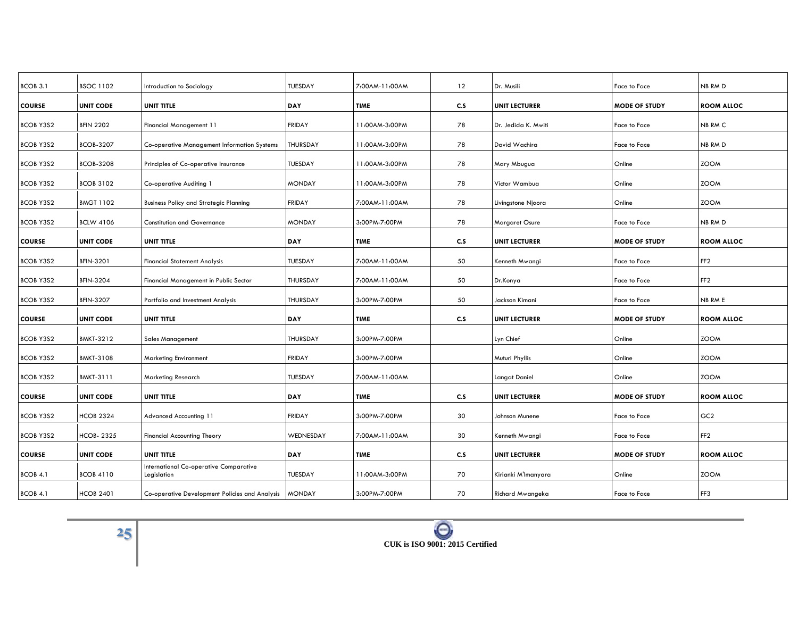| BCOB 3.1         | <b>BSOC 1102</b> | Introduction to Sociology                             | TUESDAY         | 7:00AM-11:00AM | 12  | Dr. Musili           | Face to Face         | NB RM D           |
|------------------|------------------|-------------------------------------------------------|-----------------|----------------|-----|----------------------|----------------------|-------------------|
| <b>COURSE</b>    | <b>UNIT CODE</b> | UNIT TITLE                                            | <b>DAY</b>      | <b>TIME</b>    | C.S | <b>UNIT LECTURER</b> | <b>MODE OF STUDY</b> | <b>ROOM ALLOC</b> |
| <b>BCOB Y3S2</b> | <b>BFIN 2202</b> | Financial Management 11                               | <b>FRIDAY</b>   | 11:00AM-3:00PM | 78  | Dr. Jedida K. Mwiti  | Face to Face         | NB RM C           |
| <b>BCOB Y3S2</b> | <b>BCOB-3207</b> | <b>Co-operative Management Information Systems</b>    | THURSDAY        | 11:00AM-3:00PM | 78  | David Wachira        | Face to Face         | NB RM D           |
| <b>BCOB Y3S2</b> | <b>BCOB-3208</b> | Principles of Co-operative Insurance                  | TUESDAY         | 11:00AM-3:00PM | 78  | Mary Mbugua          | Online               | <b>ZOOM</b>       |
| <b>BCOB Y3S2</b> | <b>BCOB 3102</b> | Co-operative Auditing 1                               | <b>MONDAY</b>   | 11:00AM-3:00PM | 78  | Victor Wambua        | Online               | <b>ZOOM</b>       |
| <b>BCOB Y3S2</b> | <b>BMGT 1102</b> | <b>Business Policy and Strategic Planning</b>         | <b>FRIDAY</b>   | 7:00AM-11:00AM | 78  | Livingstone Njoora   | Online               | <b>ZOOM</b>       |
| <b>BCOB Y3S2</b> | <b>BCLW 4106</b> | <b>Constitution and Governance</b>                    | <b>MONDAY</b>   | 3:00PM-7:00PM  | 78  | Margaret Osure       | Face to Face         | NB RM D           |
| <b>COURSE</b>    | <b>UNIT CODE</b> | UNIT TITLE                                            | DAY             | <b>TIME</b>    | C.S | <b>UNIT LECTURER</b> | <b>MODE OF STUDY</b> | <b>ROOM ALLOC</b> |
| <b>BCOB Y3S2</b> | BFIN-3201        | <b>Financial Statement Analysis</b>                   | TUESDAY         | 7:00AM-11:00AM | 50  | Kenneth Mwangi       | Face to Face         | FF <sub>2</sub>   |
| <b>BCOB Y3S2</b> | <b>BFIN-3204</b> | Financial Management in Public Sector                 | <b>THURSDAY</b> | 7:00AM-11:00AM | 50  | Dr.Konya             | Face to Face         | FF <sub>2</sub>   |
| <b>BCOB Y3S2</b> | <b>BFIN-3207</b> | Portfolio and Investment Analysis                     | THURSDAY        | 3:00PM-7:00PM  | 50  | Jackson Kimani       | Face to Face         | NB RM E           |
| <b>COURSE</b>    | <b>UNIT CODE</b> | UNIT TITLE                                            | DAY             | <b>TIME</b>    | C.S | <b>UNIT LECTURER</b> | <b>MODE OF STUDY</b> | <b>ROOM ALLOC</b> |
| <b>BCOB Y3S2</b> | <b>BMKT-3212</b> | <b>Sales Management</b>                               | <b>THURSDAY</b> | 3:00PM-7:00PM  |     | Lyn Chief            | Online               | <b>ZOOM</b>       |
| <b>BCOB Y3S2</b> | <b>BMKT-3108</b> | <b>Marketing Environment</b>                          | <b>FRIDAY</b>   | 3:00PM-7:00PM  |     | Muturi Phyllis       | Online               | <b>ZOOM</b>       |
| <b>BCOB Y3S2</b> | <b>BMKT-3111</b> | Marketing Research                                    | TUESDAY         | 7:00AM-11:00AM |     | Langat Daniel        | Online               | <b>ZOOM</b>       |
| <b>COURSE</b>    | <b>UNIT CODE</b> | UNIT TITLE                                            | DAY             | <b>TIME</b>    | C.S | <b>UNIT LECTURER</b> | <b>MODE OF STUDY</b> | <b>ROOM ALLOC</b> |
| <b>BCOB Y3S2</b> | <b>HCOB 2324</b> | Advanced Accounting 11                                | <b>FRIDAY</b>   | 3:00PM-7:00PM  | 30  | Johnson Munene       | Face to Face         | GC <sub>2</sub>   |
| <b>BCOB Y3S2</b> | <b>HCOB-2325</b> | <b>Financial Accounting Theory</b>                    | WEDNESDAY       | 7:00AM-11:00AM | 30  | Kenneth Mwangi       | Face to Face         | FF <sub>2</sub>   |
| <b>COURSE</b>    | <b>UNIT CODE</b> | UNIT TITLE                                            | DAY             | <b>TIME</b>    | C.S | <b>UNIT LECTURER</b> | <b>MODE OF STUDY</b> | <b>ROOM ALLOC</b> |
| BCOB 4.1         | <b>BCOB 4110</b> | International Co-operative Comparative<br>Legislation | TUESDAY         | 11:00AM-3:00PM | 70  | Kirianki M'Imanyara  | Online               | <b>ZOOM</b>       |
| BCOB 4.1         | <b>HCOB 2401</b> | Co-operative Development Policies and Analysis        | <b>MONDAY</b>   | 3:00PM-7:00PM  | 70  | Richard Mwangeka     | Face to Face         | FF3               |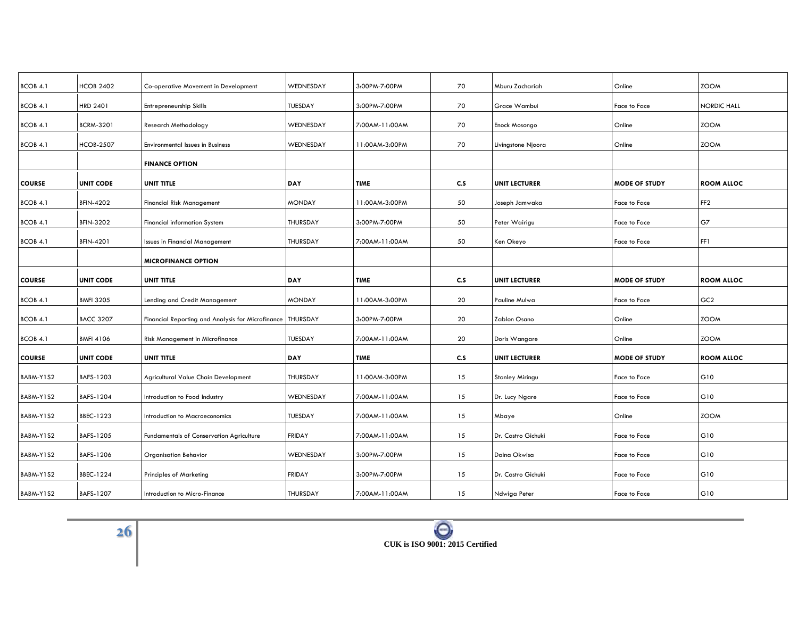| BCOB 4.1      | <b>HCOB 2402</b> | Co-operative Movement in Development              | WEDNESDAY       | 3:00PM-7:00PM  | 70  | Mburu Zachariah        | Online               | <b>ZOOM</b>        |
|---------------|------------------|---------------------------------------------------|-----------------|----------------|-----|------------------------|----------------------|--------------------|
| BCOB 4.1      | HRD 2401         | Entrepreneurship Skills                           | <b>TUESDAY</b>  | 3:00PM-7:00PM  | 70  | Grace Wambui           | Face to Face         | <b>NORDIC HALL</b> |
| BCOB 4.1      | <b>BCRM-3201</b> | Research Methodology                              | WEDNESDAY       | 7:00AM-11:00AM | 70  | Enock Mosongo          | Online               | <b>ZOOM</b>        |
| BCOB 4.1      | <b>HCOB-2507</b> | <b>Environmental Issues in Business</b>           | WEDNESDAY       | 11:00AM-3:00PM | 70  | Livingstone Njoora     | Online               | <b>ZOOM</b>        |
|               |                  | <b>FINANCE OPTION</b>                             |                 |                |     |                        |                      |                    |
| <b>COURSE</b> | <b>UNIT CODE</b> | UNIT TITLE                                        | DAY             | <b>TIME</b>    | C.S | <b>UNIT LECTURER</b>   | <b>MODE OF STUDY</b> | <b>ROOM ALLOC</b>  |
| BCOB 4.1      | <b>BFIN-4202</b> | <b>Financial Risk Management</b>                  | <b>MONDAY</b>   | 11:00AM-3:00PM | 50  | Joseph Jamwaka         | <b>Face to Face</b>  | FF <sub>2</sub>    |
| BCOB 4.1      | <b>BFIN-3202</b> | <b>Financial information System</b>               | THURSDAY        | 3:00PM-7:00PM  | 50  | Peter Wairigu          | Face to Face         | G7                 |
| BCOB 4.1      | <b>BFIN-4201</b> | <b>Issues in Financial Management</b>             | <b>THURSDAY</b> | 7:00AM-11:00AM | 50  | Ken Okeyo              | Face to Face         | FF1                |
|               |                  | <b>MICROFINANCE OPTION</b>                        |                 |                |     |                        |                      |                    |
| <b>COURSE</b> | <b>UNIT CODE</b> | <b>UNIT TITLE</b>                                 | DAY             | <b>TIME</b>    | C.S | <b>UNIT LECTURER</b>   | <b>MODE OF STUDY</b> | <b>ROOM ALLOC</b>  |
| BCOB 4.1      | <b>BMFI 3205</b> | Lending and Credit Management                     | <b>MONDAY</b>   | 11:00AM-3:00PM | 20  | Pauline Mulwa          | Face to Face         | GC <sub>2</sub>    |
| BCOB 4.1      | <b>BACC 3207</b> | Financial Reporting and Analysis for Microfinance | <b>THURSDAY</b> | 3:00PM-7:00PM  | 20  | Zablon Osano           | Online               | <b>ZOOM</b>        |
| BCOB 4.1      | <b>BMFI 4106</b> | Risk Management in Microfinance                   | <b>TUESDAY</b>  | 7:00AM-11:00AM | 20  | Doris Wangare          | Online               | <b>ZOOM</b>        |
| <b>COURSE</b> | <b>UNIT CODE</b> | UNIT TITLE                                        | <b>DAY</b>      | <b>TIME</b>    | C.S | <b>UNIT LECTURER</b>   | <b>MODE OF STUDY</b> | <b>ROOM ALLOC</b>  |
| BABM-Y1S2     | BAFS-1203        | Agricultural Value Chain Development              | <b>THURSDAY</b> | 11:00AM-3:00PM | 15  | <b>Stanley Miringu</b> | <b>Face to Face</b>  | G10                |
| BABM-Y1S2     | BAFS-1204        | Introduction to Food Industry                     | WEDNESDAY       | 7:00AM-11:00AM | 15  | Dr. Lucy Ngare         | Face to Face         | G10                |
| BABM-Y1S2     | BBEC-1223        | Introduction to Macroeconomics                    | <b>TUESDAY</b>  | 7:00AM-11:00AM | 15  | Mbaye                  | Online               | <b>ZOOM</b>        |
| BABM-Y1S2     | BAFS-1205        | <b>Fundamentals of Conservation Agriculture</b>   | <b>FRIDAY</b>   | 7:00AM-11:00AM | 15  | Dr. Castro Gichuki     | <b>Face to Face</b>  | G10                |
| BABM-Y1S2     | BAFS-1206        | <b>Organisation Behavior</b>                      | WEDNESDAY       | 3:00PM-7:00PM  | 15  | Daina Okwisa           | Face to Face         | G10                |
| BABM-Y1S2     | BBEC-1224        | <b>Principles of Marketing</b>                    | <b>FRIDAY</b>   | 3:00PM-7:00PM  | 15  | Dr. Castro Gichuki     | Face to Face         | G10                |
| BABM-Y1S2     | BAFS-1207        | Introduction to Micro-Finance                     | THURSDAY        | 7:00AM-11:00AM | 15  | Ndwiga Peter           | Face to Face         | G10                |